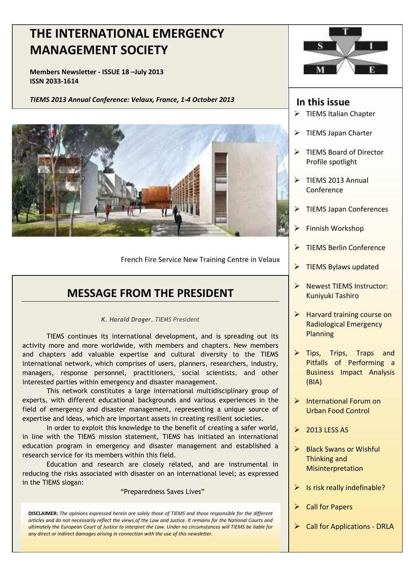# **MANAGEMENT SOCIETY THE INTERNATIONAL EMERGENCY**

**Members Newsletter - ISSUE 18 –July 2013 ISSN 2033-1614** 

*TIEMS 2013 Annual Conference: Velaux, France, 1-4 October 2013* **In this issue**



French Fire Service New Training Centre in Velaux

# **MESSAGE FROM THE PRESIDENT**

*K. Harald Drager, TIEMS President* 

TIEMS continues its international development, and is spreading out its activity more and more worldwide, with members and chapters. New members and chapters add valuable expertise and cultural diversity to the TIEMS international network, which comprises of users, planners, researchers, industry, managers, response personnel, practitioners, social scientists, and other interested parties within emergency and disaster management.

expertise and ideas, which are important assets in creating resilient societies.<br>In erder to exploit this knowledge to the benefit of creating a safer we This network constitutes a large international multidisciplinary group of experts, with different educational backgrounds and various experiences in the field of emergency and disaster management, representing a unique source of

In order to exploit this knowledge to the benefit of creating a safer world, in line with the TIEMS mission statement, TIEMS has initiated an international education program in emergency and disaster management and established a research service for its members within this field.

 Education and research are closely related, and are instrumental in reducing the risks associated with disaster on an international level; as expressed in the TIEMS slogan:

"Preparedness Saves Lives"

**DISCLAIMER:** *The opinions expressed herein are solely those of TIEMS and those responsible for the different articles and do not necessarily reflect the views of the Law and Justice. It remains for the National Courts and ultimately the European Court of Justice to interpret the Law. Under no circumstances will TIEMS be liable for any direct or indirect damages arising in connection with the use of this newsletter.* 



- TIEMS Italian Chapter
- $\triangleright$  TIEMS Japan Charter
- $\triangleright$  TIEMS Board of Director Profile spotlight
- $\triangleright$  TIEMS 2013 Annual Conference
- TIEMS Japan Conferences
- Finnish Workshop
- TIEMS Berlin Conference
- $\triangleright$  TIEMS Bylaws updated
- **Newest TIEMS Instructor:** Kuniyuki Tashiro
- $\triangleright$  Harvard training course on Radiological Emergency Planning
- $\triangleright$  Tips, Trips, Traps and Pitfalls of Performing a Business Impact Analysis (BIA)
- $\triangleright$  International Forum on Urban Food Control
- $\geq$  2013 LESS AS
- $\triangleright$  Black Swans or Wishful Thinking and **Misinterpretation**
- $\triangleright$  Is risk really indefinable?
- $\triangleright$  Call for Papers
- $\triangleright$  Call for Applications DRLA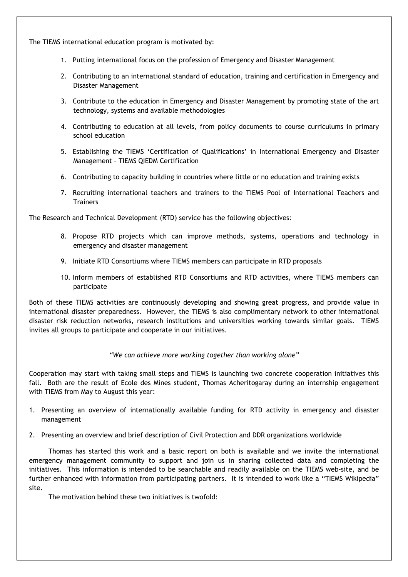The TIEMS international education program is motivated by:

- 1. Putting international focus on the profession of Emergency and Disaster Management
- 2. Contributing to an international standard of education, training and certification in Emergency and Disaster Management
- 3. Contribute to the education in Emergency and Disaster Management by promoting state of the art technology, systems and available methodologies
- 4. Contributing to education at all levels, from policy documents to course curriculums in primary school education
- 5. Establishing the TIEMS 'Certification of Qualifications' in International Emergency and Disaster Management – TIEMS QIEDM Certification
- 6. Contributing to capacity building in countries where little or no education and training exists
- 7. Recruiting international teachers and trainers to the TIEMS Pool of International Teachers and **Trainers**

The Research and Technical Development (RTD) service has the following objectives:

- 8. Propose RTD projects which can improve methods, systems, operations and technology in emergency and disaster management
- 9. Initiate RTD Consortiums where TIEMS members can participate in RTD proposals
- 10. Inform members of established RTD Consortiums and RTD activities, where TIEMS members can participate

Both of these TIEMS activities are continuously developing and showing great progress, and provide value in international disaster preparedness. However, the TIEMS is also complimentary network to other international disaster risk reduction networks, research institutions and universities working towards similar goals. TIEMS invites all groups to participate and cooperate in our initiatives.

#### *"We can achieve more working together than working alone"*

Cooperation may start with taking small steps and TIEMS is launching two concrete cooperation initiatives this fall. Both are the result of Ecole des Mines student, Thomas Acheritogaray during an internship engagement with TIEMS from May to August this year:

- 1. Presenting an overview of internationally available funding for RTD activity in emergency and disaster management
- 2. Presenting an overview and brief description of Civil Protection and DDR organizations worldwide

 Thomas has started this work and a basic report on both is available and we invite the international emergency management community to support and join us in sharing collected data and completing the initiatives. This information is intended to be searchable and readily available on the TIEMS web-site, and be further enhanced with information from participating partners. It is intended to work like a "TIEMS Wikipedia" site.

The motivation behind these two initiatives is twofold: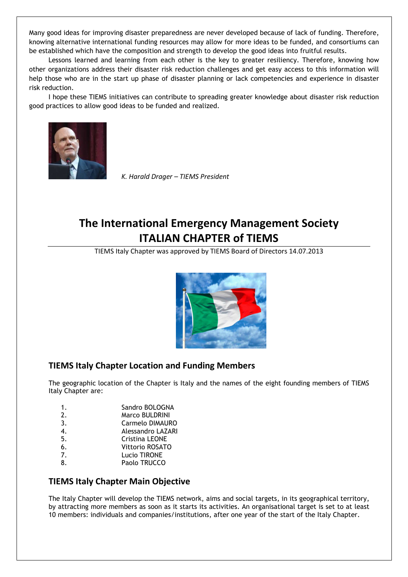Many good ideas for improving disaster preparedness are never developed because of lack of funding. Therefore, knowing alternative international funding resources may allow for more ideas to be funded, and consortiums can be established which have the composition and strength to develop the good ideas into fruitful results.

 Lessons learned and learning from each other is the key to greater resiliency. Therefore, knowing how other organizations address their disaster risk reduction challenges and get easy access to this information will help those who are in the start up phase of disaster planning or lack competencies and experience in disaster risk reduction.

 I hope these TIEMS initiatives can contribute to spreading greater knowledge about disaster risk reduction good practices to allow good ideas to be funded and realized.



*K. Harald Drager – TIEMS President* 

# **The International Emergency Management Society ITALIAN CHAPTER of TIEMS**

TIEMS Italy Chapter was approved by TIEMS Board of Directors 14.07.2013



### **TIEMS Italy Chapter Location and Funding Members**

The geographic location of the Chapter is Italy and the names of the eight founding members of TIEMS Italy Chapter are:

- 1. Sandro BOLOGNA
- 2. Marco BULDRINI
- 3. Carmelo DIMAURO 4. Alessandro LAZARI
- 5. Cristina LEONE
- 6. Vittorio ROSATO
- 7. Lucio TIRONE
- 8. Paolo TRUCCO

### **TIEMS Italy Chapter Main Objective**

The Italy Chapter will develop the TIEMS network, aims and social targets, in its geographical territory, by attracting more members as soon as it starts its activities. An organisational target is set to at least 10 members: individuals and companies/institutions, after one year of the start of the Italy Chapter.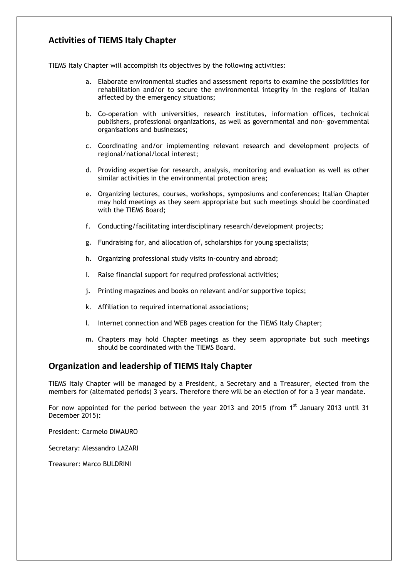# **Activities of TIEMS Italy Chapter**

TIEMS Italy Chapter will accomplish its objectives by the following activities:

- a. Elaborate environmental studies and assessment reports to examine the possibilities for rehabilitation and/or to secure the environmental integrity in the regions of Italian affected by the emergency situations;
- b. Co-operation with universities, research institutes, information offices, technical publishers, professional organizations, as well as governmental and non- governmental organisations and businesses;
- c. Coordinating and/or implementing relevant research and development projects of regional/national/local interest;
- d. Providing expertise for research, analysis, monitoring and evaluation as well as other similar activities in the environmental protection area;
- e. Organizing lectures, courses, workshops, symposiums and conferences; Italian Chapter may hold meetings as they seem appropriate but such meetings should be coordinated with the TIEMS Board;
- f. Conducting/facilitating interdisciplinary research/development projects;
- g. Fundraising for, and allocation of, scholarships for young specialists;
- h. Organizing professional study visits in-country and abroad;
- i. Raise financial support for required professional activities;
- j. Printing magazines and books on relevant and/or supportive topics;
- k. Affiliation to required international associations;
- l. Internet connection and WEB pages creation for the TIEMS Italy Chapter;
- m. Chapters may hold Chapter meetings as they seem appropriate but such meetings should be coordinated with the TIEMS Board.

### **Organization and leadership of TIEMS Italy Chapter**

TIEMS Italy Chapter will be managed by a President, a Secretary and a Treasurer, elected from the members for (alternated periods) 3 years. Therefore there will be an election of for a 3 year mandate.

For now appointed for the period between the year 2013 and 2015 (from 1<sup>st</sup> January 2013 until 31 December 2015):

President: Carmelo DIMAURO

Secretary: Alessandro LAZARI

Treasurer: Marco BULDRINI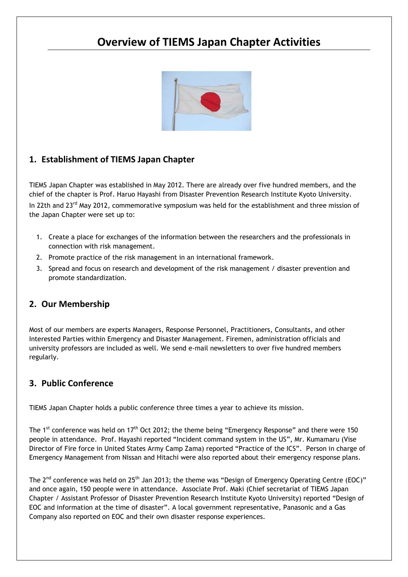# **Overview of TIEMS Japan Chapter Activities**



# **1. Establishment of TIEMS Japan Chapter**

TIEMS Japan Chapter was established in May 2012. There are already over five hundred members, and the chief of the chapter is Prof. Haruo Hayashi from Disaster Prevention Research Institute Kyoto University. In 22th and 23<sup>rd</sup> May 2012, commemorative symposium was held for the establishment and three mission of the Japan Chapter were set up to:

- 1. Create a place for exchanges of the information between the researchers and the professionals in connection with risk management.
- 2. Promote practice of the risk management in an international framework.
- 3. Spread and focus on research and development of the risk management / disaster prevention and promote standardization.

### **2. Our Membership**

Most of our members are experts Managers, Response Personnel, Practitioners, Consultants, and other Interested Parties within Emergency and Disaster Management. Firemen, administration officials and university professors are included as well. We send e-mail newsletters to over five hundred members regularly.

### **3. Public Conference**

TIEMS Japan Chapter holds a public conference three times a year to achieve its mission.

The 1<sup>st</sup> conference was held on 17<sup>th</sup> Oct 2012; the theme being "Emergency Response" and there were 150 people in attendance. Prof. Hayashi reported "Incident command system in the US", Mr. Kumamaru (Vise Director of Fire force in United States Army Camp Zama) reported "Practice of the ICS". Person in charge of Emergency Management from Nissan and Hitachi were also reported about their emergency response plans.

The 2<sup>nd</sup> conference was held on 25<sup>th</sup> Jan 2013; the theme was "Design of Emergency Operating Centre (EOC)" and once again, 150 people were in attendance. Associate Prof. Maki (Chief secretariat of TIEMS Japan Chapter / Assistant Professor of Disaster Prevention Research Institute Kyoto University) reported "Design of EOC and information at the time of disaster". A local government representative, Panasonic and a Gas Company also reported on EOC and their own disaster response experiences.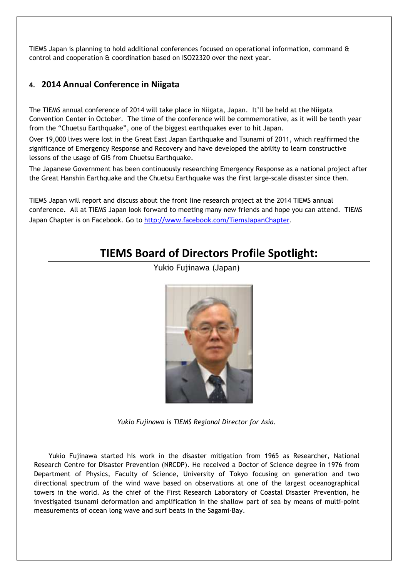TIEMS Japan is planning to hold additional conferences focused on operational information, command & control and cooperation & coordination based on ISO22320 over the next year.

# **4. 2014 Annual Conference in Niigata**

The TIEMS annual conference of 2014 will take place in Niigata, Japan. It'll be held at the Niigata Convention Center in October. The time of the conference will be commemorative, as it will be tenth year from the "Chuetsu Earthquake", one of the biggest earthquakes ever to hit Japan.

Over 19,000 lives were lost in the Great East Japan Earthquake and Tsunami of 2011, which reaffirmed the significance of Emergency Response and Recovery and have developed the ability to learn constructive lessons of the usage of GIS from Chuetsu Earthquake.

The Japanese Government has been continuously researching Emergency Response as a national project after the Great Hanshin Earthquake and the Chuetsu Earthquake was the first large-scale disaster since then.

TIEMS Japan will report and discuss about the front line research project at the 2014 TIEMS annual conference. All at TIEMS Japan look forward to meeting many new friends and hope you can attend. TIEMS Japan Chapter is on Facebook. Go to http://www.facebook.com/TiemsJapanChapter.

# **TIEMS Board of Directors Profile Spotlight:**



Yukio Fujinawa (Japan)

*Yukio Fujinawa is TIEMS Regional Director for Asia.*

Yukio Fujinawa started his work in the disaster mitigation from 1965 as Researcher, National Research Centre for Disaster Prevention (NRCDP). He received a Doctor of Science degree in 1976 from Department of Physics, Faculty of Science, University of Tokyo focusing on generation and two directional spectrum of the wind wave based on observations at one of the largest oceanographical towers in the world. As the chief of the First Research Laboratory of Coastal Disaster Prevention, he investigated tsunami deformation and amplification in the shallow part of sea by means of multi-point measurements of ocean long wave and surf beats in the Sagami-Bay.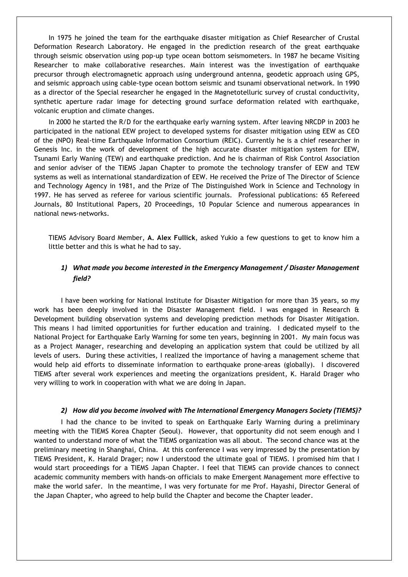In 1975 he joined the team for the earthquake disaster mitigation as Chief Researcher of Crustal Deformation Research Laboratory. He engaged in the prediction research of the great earthquake through seismic observation using pop-up type ocean bottom seismometers. In 1987 he became Visiting Researcher to make collaborative researches. Main interest was the investigation of earthquake precursor through electromagnetic approach using underground antenna, geodetic approach using GPS, and seismic approach using cable-type ocean bottom seismic and tsunami observational network. In 1990 as a director of the Special researcher he engaged in the Magnetotelluric survey of crustal conductivity, synthetic aperture radar image for detecting ground surface deformation related with earthquake, volcanic eruption and climate changes.

In 2000 he started the R/D for the earthquake early warning system. After leaving NRCDP in 2003 he participated in the national EEW project to developed systems for disaster mitigation using EEW as CEO of the (NPO) Real-time Earthquake Information Consortium (REIC). Currently he is a chief researcher in Genesis Inc. in the work of development of the high accurate disaster mitigation system for EEW, Tsunami Early Waning (TEW) and earthquake prediction. And he is chairman of Risk Control Association and senior adviser of the TIEMS Japan Chapter to promote the technology transfer of EEW and TEW systems as well as international standardization of EEW. He received the Prize of The Director of Science and Technology Agency in 1981, and the Prize of The Distinguished Work in Science and Technology in 1997. He has served as referee for various scientific journals. Professional publications: 65 Refereed Journals, 80 Institutional Papers, 20 Proceedings, 10 Popular Science and numerous appearances in national news-networks.

TIEMS Advisory Board Member, **A. Alex Fullick**, asked Yukio a few questions to get to know him a little better and this is what he had to say.

### *1) What made you become interested in the Emergency Management / Disaster Management field?*

I have been working for National Institute for Disaster Mitigation for more than 35 years, so my work has been deeply involved in the Disaster Management field. I was engaged in Research & Development building observation systems and developing prediction methods for Disaster Mitigation. This means I had limited opportunities for further education and training. I dedicated myself to the National Project for Earthquake Early Warning for some ten years, beginning in 2001. My main focus was as a Project Manager, researching and developing an application system that could be utilized by all levels of users. During these activities, I realized the importance of having a management scheme that would help aid efforts to disseminate information to earthquake prone-areas (globally). I discovered TIEMS after several work experiences and meeting the organizations president, K. Harald Drager who very willing to work in cooperation with what we are doing in Japan.

#### *2) How did you become involved with The International Emergency Managers Society (TIEMS)?*

I had the chance to be invited to speak on Earthquake Early Warning during a preliminary meeting with the TIEMS Korea Chapter (Seoul). However, that opportunity did not seem enough and I wanted to understand more of what the TIEMS organization was all about. The second chance was at the preliminary meeting in Shanghai, China. At this conference I was very impressed by the presentation by TIEMS President, K. Harald Drager; now I understood the ultimate goal of TIEMS. I promised him that I would start proceedings for a TIEMS Japan Chapter. I feel that TIEMS can provide chances to connect academic community members with hands-on officials to make Emergent Management more effective to make the world safer. In the meantime, I was very fortunate for me Prof. Hayashi, Director General of the Japan Chapter, who agreed to help build the Chapter and become the Chapter leader.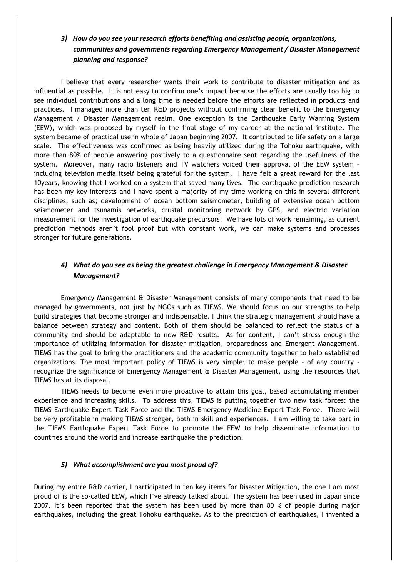### *3) How do you see your research efforts benefiting and assisting people, organizations, communities and governments regarding Emergency Management / Disaster Management planning and response?*

I believe that every researcher wants their work to contribute to disaster mitigation and as influential as possible. It is not easy to confirm one's impact because the efforts are usually too big to see individual contributions and a long time is needed before the efforts are reflected in products and practices. I managed more than ten R&D projects without confirming clear benefit to the Emergency Management / Disaster Management realm. One exception is the Earthquake Early Warning System (EEW), which was proposed by myself in the final stage of my career at the national institute. The system became of practical use in whole of Japan beginning 2007. It contributed to life safety on a large scale. The effectiveness was confirmed as being heavily utilized during the Tohoku earthquake, with more than 80% of people answering positively to a questionnaire sent regarding the usefulness of the system. Moreover, many radio listeners and TV watchers voiced their approval of the EEW system – including television media itself being grateful for the system. I have felt a great reward for the last 10years, knowing that I worked on a system that saved many lives. The earthquake prediction research has been my key interests and I have spent a majority of my time working on this in several different disciplines, such as; development of ocean bottom seismometer, building of extensive ocean bottom seismometer and tsunamis networks, crustal monitoring network by GPS, and electric variation measurement for the investigation of earthquake precursors. We have lots of work remaining, as current prediction methods aren't fool proof but with constant work, we can make systems and processes stronger for future generations.

### *4) What do you see as being the greatest challenge in Emergency Management & Disaster Management?*

Emergency Management & Disaster Management consists of many components that need to be managed by governments, not just by NGOs such as TIEMS. We should focus on our strengths to help build strategies that become stronger and indispensable. I think the strategic management should have a balance between strategy and content. Both of them should be balanced to reflect the status of a community and should be adaptable to new R&D results. As for content, I can't stress enough the importance of utilizing information for disaster mitigation, preparedness and Emergent Management. TIEMS has the goal to bring the practitioners and the academic community together to help established organizations. The most important policy of TIEMS is very simple; to make people - of any country recognize the significance of Emergency Management & Disaster Management, using the resources that TIEMS has at its disposal.

TIEMS needs to become even more proactive to attain this goal, based accumulating member experience and increasing skills. To address this, TIEMS is putting together two new task forces: the TIEMS Earthquake Expert Task Force and the TIEMS Emergency Medicine Expert Task Force. There will be very profitable in making TIEMS stronger, both in skill and experiences. I am willing to take part in the TIEMS Earthquake Expert Task Force to promote the EEW to help disseminate information to countries around the world and increase earthquake the prediction.

#### *5) What accomplishment are you most proud of?*

During my entire R&D carrier, I participated in ten key items for Disaster Mitigation, the one I am most proud of is the so-called EEW, which I've already talked about. The system has been used in Japan since 2007. It's been reported that the system has been used by more than 80 % of people during major earthquakes, including the great Tohoku earthquake. As to the prediction of earthquakes, I invented a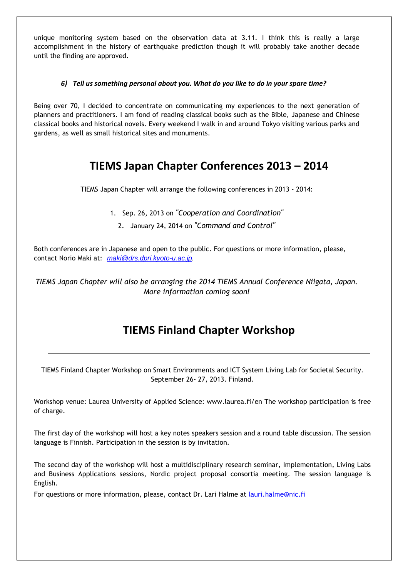unique monitoring system based on the observation data at 3.11. I think this is really a large accomplishment in the history of earthquake prediction though it will probably take another decade until the finding are approved.

### *6) Tell us something personal about you. What do you like to do in your spare time?*

Being over 70, I decided to concentrate on communicating my experiences to the next generation of planners and practitioners. I am fond of reading classical books such as the Bible, Japanese and Chinese classical books and historical novels. Every weekend I walk in and around Tokyo visiting various parks and gardens, as well as small historical sites and monuments.

# **TIEMS Japan Chapter Conferences 2013 – 2014**

TIEMS Japan Chapter will arrange the following conferences in 2013 - 2014:

- 1. Sep. 26, 2013 on *"Cooperation and Coordination"*
	- 2. January 24, 2014 on *"Command and Control"*

Both conferences are in Japanese and open to the public. For questions or more information, please, contact Norio Maki at: maki@drs.dpri.kyoto-u.ac.jp.

*TIEMS Japan Chapter will also be arranging the 2014 TIEMS Annual Conference Niigata, Japan. More information coming soon!* 

# **TIEMS Finland Chapter Workshop**

TIEMS Finland Chapter Workshop on Smart Environments and ICT System Living Lab for Societal Security. September 26- 27, 2013. Finland.

Workshop venue: Laurea University of Applied Science: www.laurea.fi/en The workshop participation is free of charge.

The first day of the workshop will host a key notes speakers session and a round table discussion. The session language is Finnish. Participation in the session is by invitation.

The second day of the workshop will host a multidisciplinary research seminar, Implementation, Living Labs and Business Applications sessions, Nordic project proposal consortia meeting. The session language is English.

For questions or more information, please, contact Dr. Lari Halme at lauri.halme@nic.fi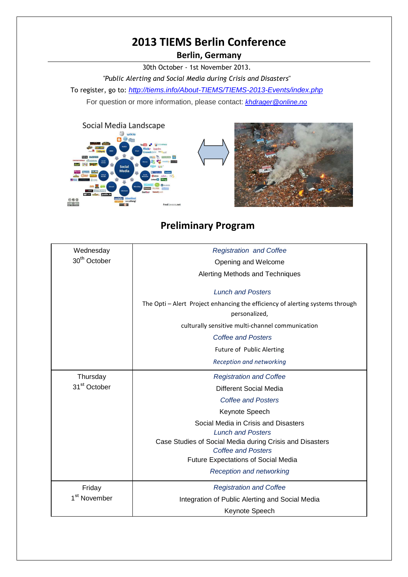# **2013 TIEMS Berlin Conference**

**Berlin, Germany** 

30th October - 1st November 2013.

*"Public Alerting and Social Media during Crisis and Disasters*" To register, go to: http://tiems.info/About-TIEMS/TIEMS-2013-Events/index.php For question or more information, please contact: **khdrager@online.no** 



# **Preliminary Program**

| Wednesday                | <b>Registration and Coffee</b>                                                                 |  |  |
|--------------------------|------------------------------------------------------------------------------------------------|--|--|
| 30 <sup>th</sup> October | Opening and Welcome                                                                            |  |  |
|                          | Alerting Methods and Techniques                                                                |  |  |
|                          | <b>Lunch and Posters</b>                                                                       |  |  |
|                          | The Opti - Alert Project enhancing the efficiency of alerting systems through<br>personalized, |  |  |
|                          | culturally sensitive multi-channel communication                                               |  |  |
|                          | <b>Coffee and Posters</b>                                                                      |  |  |
|                          | Future of Public Alerting                                                                      |  |  |
|                          | Reception and networking                                                                       |  |  |
| Thursday                 | <b>Registration and Coffee</b>                                                                 |  |  |
| 31 <sup>st</sup> October | Different Social Media                                                                         |  |  |
|                          | <b>Coffee and Posters</b>                                                                      |  |  |
|                          | Keynote Speech                                                                                 |  |  |
|                          | Social Media in Crisis and Disasters                                                           |  |  |
|                          | <b>Lunch and Posters</b>                                                                       |  |  |
|                          | Case Studies of Social Media during Crisis and Disasters                                       |  |  |
|                          | <b>Coffee and Posters</b>                                                                      |  |  |
|                          | <b>Future Expectations of Social Media</b>                                                     |  |  |
|                          | <b>Reception and networking</b>                                                                |  |  |
| Friday                   | <b>Registration and Coffee</b>                                                                 |  |  |
| 1 <sup>st</sup> November | Integration of Public Alerting and Social Media                                                |  |  |
|                          |                                                                                                |  |  |
|                          | Keynote Speech                                                                                 |  |  |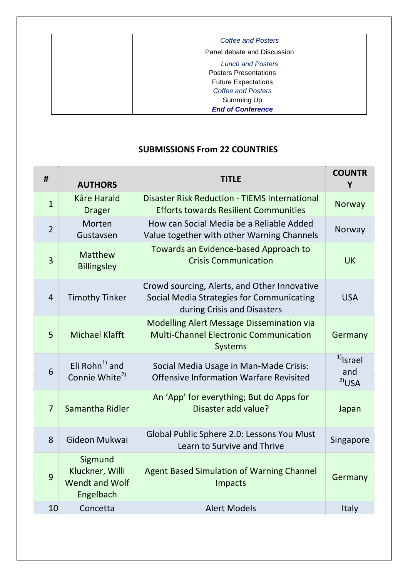| Coffee and Posters                                                                                                         |
|----------------------------------------------------------------------------------------------------------------------------|
| Panel debate and Discussion                                                                                                |
| <b>Lunch and Posters</b><br><b>Posters Presentations</b><br><b>Future Expectations</b><br>Coffee and Posters<br>Summing Up |
| <b>End of Conference</b>                                                                                                   |

# **SUBMISSIONS From 22 COUNTRIES**

| #              | <b>AUTHORS</b>                                            | <b>TITLE</b>                                                                                                             | <b>COUNTR</b><br>Υ                        |
|----------------|-----------------------------------------------------------|--------------------------------------------------------------------------------------------------------------------------|-------------------------------------------|
| $\mathbf{1}$   | <b>Kåre Harald</b><br><b>Drager</b>                       | <b>Disaster Risk Reduction - TIEMS International</b><br><b>Efforts towards Resilient Communities</b>                     | Norway                                    |
| $\overline{2}$ | Morten<br>Gustavsen                                       | How can Social Media be a Reliable Added<br>Value together with other Warning Channels                                   | Norway                                    |
| $\overline{3}$ | Matthew<br><b>Billingsley</b>                             | Towards an Evidence-based Approach to<br><b>Crisis Communication</b>                                                     | <b>UK</b>                                 |
| $\overline{4}$ | <b>Timothy Tinker</b>                                     | Crowd sourcing, Alerts, and Other Innovative<br>Social Media Strategies for Communicating<br>during Crisis and Disasters | <b>USA</b>                                |
| 5              | <b>Michael Klafft</b>                                     | <b>Modelling Alert Message Dissemination via</b><br><b>Multi-Channel Electronic Communication</b><br><b>Systems</b>      | Germany                                   |
| 6              | Eli Rohn $^{1)}$ and<br>Connie White <sup>2)</sup>        | Social Media Usage in Man-Made Crisis:<br><b>Offensive Information Warfare Revisited</b>                                 | $1)$ <sub>Israel</sub><br>and<br>$2)$ USA |
| $\overline{7}$ | Samantha Ridler                                           | An 'App' for everything; But do Apps for<br>Disaster add value?                                                          | Japan                                     |
| 8              | Gideon Mukwai                                             | Global Public Sphere 2.0: Lessons You Must<br>Learn to Survive and Thrive                                                | Singapore                                 |
| 9              | Sigmund<br>Kluckner, Willi<br>Wendt and Wolf<br>Engelbach | <b>Agent Based Simulation of Warning Channel</b><br>Impacts                                                              | Germany                                   |
| 10             | Concetta                                                  | <b>Alert Models</b>                                                                                                      | <b>Italy</b>                              |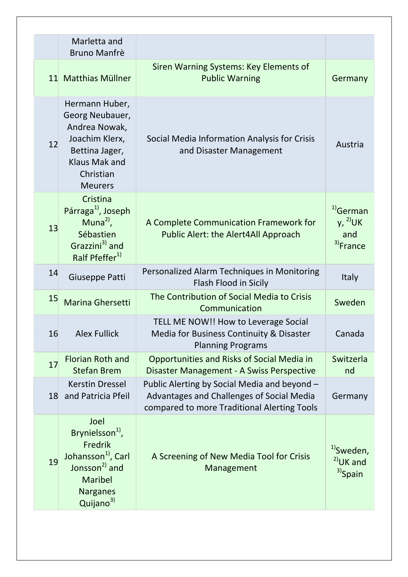|    | Marletta and                                                                                                                                                       |                                                                                                                                          |                                                             |
|----|--------------------------------------------------------------------------------------------------------------------------------------------------------------------|------------------------------------------------------------------------------------------------------------------------------------------|-------------------------------------------------------------|
|    | <b>Bruno Manfrè</b>                                                                                                                                                |                                                                                                                                          |                                                             |
|    | 11 Matthias Müllner                                                                                                                                                | Siren Warning Systems: Key Elements of<br><b>Public Warning</b>                                                                          | Germany                                                     |
| 12 | Hermann Huber,<br>Georg Neubauer,<br>Andrea Nowak,<br>Joachim Klerx,<br>Bettina Jager,<br><b>Klaus Mak and</b><br>Christian<br><b>Meurers</b>                      | Social Media Information Analysis for Crisis<br>and Disaster Management                                                                  | Austria                                                     |
| 13 | Cristina<br>Párraga <sup>1</sup> , Joseph<br>Muna <sup>2)</sup> ,<br>Sébastien<br>Grazzini <sup>3</sup> and<br>Ralf Pfeffer <sup>1)</sup>                          | A Complete Communication Framework for<br>Public Alert: the Alert4All Approach                                                           | $1)$ German<br>$y, 2$ UK<br>and<br><sup>3</sup> )France     |
| 14 | Giuseppe Patti                                                                                                                                                     | Personalized Alarm Techniques in Monitoring<br>Flash Flood in Sicily                                                                     | <b>Italy</b>                                                |
| 15 | Marina Ghersetti                                                                                                                                                   | The Contribution of Social Media to Crisis<br>Communication                                                                              | Sweden                                                      |
| 16 | <b>Alex Fullick</b>                                                                                                                                                | TELL ME NOW!! How to Leverage Social<br>Media for Business Continuity & Disaster<br><b>Planning Programs</b>                             | Canada                                                      |
| 17 | <b>Florian Roth and</b><br><b>Stefan Brem</b>                                                                                                                      | Opportunities and Risks of Social Media in<br>Disaster Management - A Swiss Perspective                                                  | Switzerla<br>nd                                             |
| 18 | <b>Kerstin Dressel</b><br>and Patricia Pfeil                                                                                                                       | Public Alerting by Social Media and beyond -<br>Advantages and Challenges of Social Media<br>compared to more Traditional Alerting Tools | Germany                                                     |
| 19 | Joel<br>Brynielsson <sup>1</sup> ,<br>Fredrik<br>Johansson <sup>1</sup> , Carl<br>Jonsson <sup>2)</sup> and<br>Maribel<br><b>Narganes</b><br>Quijano <sup>3)</sup> | A Screening of New Media Tool for Crisis<br>Management                                                                                   | <sup>1)</sup> Sweden,<br>$2)$ UK and<br><sup>3)</sup> Spain |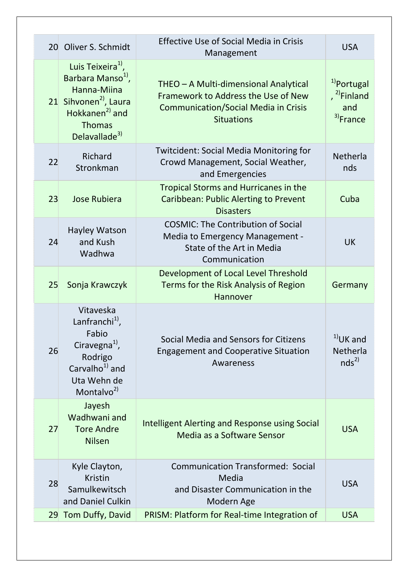|    | 20 Oliver S. Schmidt                                                                                                                                                                        | <b>Effective Use of Social Media in Crisis</b><br>Management                                                                                     | <b>USA</b>                                                                |
|----|---------------------------------------------------------------------------------------------------------------------------------------------------------------------------------------------|--------------------------------------------------------------------------------------------------------------------------------------------------|---------------------------------------------------------------------------|
|    | Luis Teixeira <sup>1</sup> ,<br>Barbara Manso <sup>1</sup> ,<br>Hanna-Miina<br>21 Sihvonen <sup>2</sup> , Laura<br>Hokkanen <sup>2)</sup> and<br><b>Thomas</b><br>Delavallade <sup>3)</sup> | THEO - A Multi-dimensional Analytical<br>Framework to Address the Use of New<br><b>Communication/Social Media in Crisis</b><br><b>Situations</b> | <sup>1</sup> Portugal<br>, $^{2)}$ Finland<br>and<br><sup>3)</sup> France |
| 22 | Richard<br>Stronkman                                                                                                                                                                        | <b>Twitcident: Social Media Monitoring for</b><br>Crowd Management, Social Weather,<br>and Emergencies                                           | Netherla<br>nds                                                           |
| 23 | <b>Jose Rubiera</b>                                                                                                                                                                         | <b>Tropical Storms and Hurricanes in the</b><br><b>Caribbean: Public Alerting to Prevent</b><br><b>Disasters</b>                                 | Cuba                                                                      |
| 24 | <b>Hayley Watson</b><br>and Kush<br>Wadhwa                                                                                                                                                  | <b>COSMIC: The Contribution of Social</b><br>Media to Emergency Management -<br>State of the Art in Media<br>Communication                       | <b>UK</b>                                                                 |
| 25 | Sonja Krawczyk                                                                                                                                                                              | Development of Local Level Threshold<br>Terms for the Risk Analysis of Region<br>Hannover                                                        | Germany                                                                   |
| 26 | Vitaveska<br>Lanfranchi $^{11}$ ,<br>Fabio<br>Ciravegna <sup>1</sup> ,<br>Rodrigo<br>Carvalho <sup>1)</sup> and<br>Uta Wehn de<br>Montalvo <sup>2)</sup>                                    | Social Media and Sensors for Citizens<br><b>Engagement and Cooperative Situation</b><br>Awareness                                                | $1)$ UK and<br>Netherla<br>nds <sup>2</sup>                               |
| 27 | Jayesh<br>Wadhwani and<br><b>Tore Andre</b><br><b>Nilsen</b>                                                                                                                                | Intelligent Alerting and Response using Social<br>Media as a Software Sensor                                                                     | <b>USA</b>                                                                |
| 28 | Kyle Clayton,<br><b>Kristin</b><br>Samulkewitsch<br>and Daniel Culkin                                                                                                                       | <b>Communication Transformed: Social</b><br>Media<br>and Disaster Communication in the<br>Modern Age                                             | <b>USA</b>                                                                |
| 29 | Tom Duffy, David                                                                                                                                                                            | PRISM: Platform for Real-time Integration of                                                                                                     | <b>USA</b>                                                                |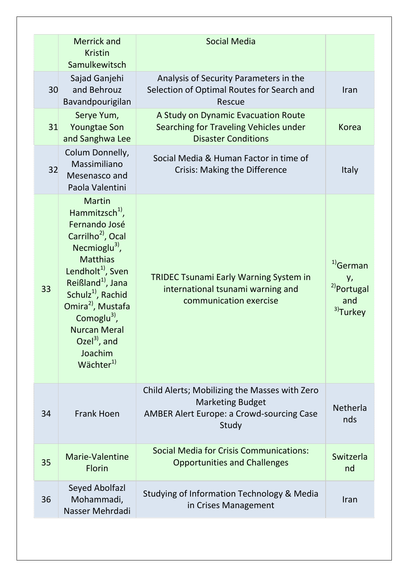|    | <b>Merrick and</b><br><b>Kristin</b><br>Samulkewitsch                                                                                                                                                                                                                                                                                                                                                      | <b>Social Media</b>                                                                                                                   |                                                                                     |
|----|------------------------------------------------------------------------------------------------------------------------------------------------------------------------------------------------------------------------------------------------------------------------------------------------------------------------------------------------------------------------------------------------------------|---------------------------------------------------------------------------------------------------------------------------------------|-------------------------------------------------------------------------------------|
| 30 | Sajad Ganjehi<br>and Behrouz<br>Bavandpourigilan                                                                                                                                                                                                                                                                                                                                                           | Analysis of Security Parameters in the<br>Selection of Optimal Routes for Search and<br>Rescue                                        | Iran                                                                                |
| 31 | Serye Yum,<br><b>Youngtae Son</b><br>and Sanghwa Lee                                                                                                                                                                                                                                                                                                                                                       | A Study on Dynamic Evacuation Route<br>Searching for Traveling Vehicles under<br><b>Disaster Conditions</b>                           | <b>Korea</b>                                                                        |
| 32 | Colum Donnelly,<br>Massimiliano<br>Mesenasco and<br>Paola Valentini                                                                                                                                                                                                                                                                                                                                        | Social Media & Human Factor in time of<br><b>Crisis: Making the Difference</b>                                                        | <b>Italy</b>                                                                        |
| 33 | <b>Martin</b><br>Hammitzsch <sup>1</sup> ,<br>Fernando José<br>Carrilho <sup>2)</sup> , Ocal<br>Necmioglu <sup>3)</sup> ,<br><b>Matthias</b><br>Lendholt <sup>1</sup> , Sven<br>Reißland <sup>1</sup> , Jana<br>Schulz <sup>1)</sup> , Rachid<br>Omira <sup>2</sup> , Mustafa<br>Comoglu <sup>3)</sup> ,<br><b>Nurcan Meral</b><br>Ozel <sup>3)</sup> , and<br>Joachim<br>$W\ddot{\text{a}}$ chter $^{1)}$ | <b>TRIDEC Tsunami Early Warning System in</b><br>international tsunami warning and<br>communication exercise                          | <sup>1)</sup> German<br>у,<br><sup>2)</sup> Portugal<br>and<br><sup>3)</sup> Turkey |
| 34 | <b>Frank Hoen</b>                                                                                                                                                                                                                                                                                                                                                                                          | Child Alerts; Mobilizing the Masses with Zero<br><b>Marketing Budget</b><br><b>AMBER Alert Europe: a Crowd-sourcing Case</b><br>Study | Netherla<br>nds                                                                     |
| 35 | Marie-Valentine<br><b>Florin</b>                                                                                                                                                                                                                                                                                                                                                                           | <b>Social Media for Crisis Communications:</b><br><b>Opportunities and Challenges</b>                                                 | Switzerla<br>nd                                                                     |
| 36 | Seyed Abolfazl<br>Mohammadi,<br>Nasser Mehrdadi                                                                                                                                                                                                                                                                                                                                                            | Studying of Information Technology & Media<br>in Crises Management                                                                    | Iran                                                                                |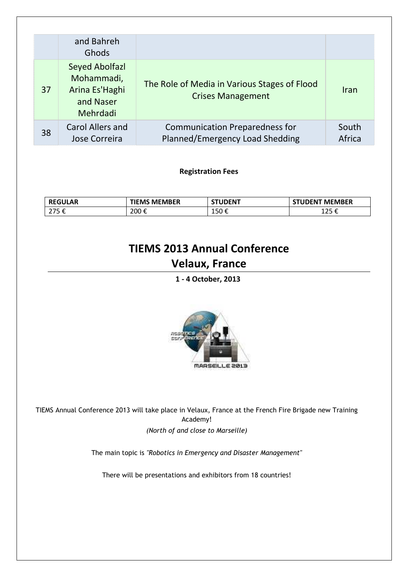|    | and Bahreh<br>Ghods                                                            |                                                                          |                 |
|----|--------------------------------------------------------------------------------|--------------------------------------------------------------------------|-----------------|
| 37 | <b>Seyed Abolfazl</b><br>Mohammadi,<br>Arina Es'Haghi<br>and Naser<br>Mehrdadi | The Role of Media in Various Stages of Flood<br><b>Crises Management</b> | <b>Iran</b>     |
| 38 | <b>Carol Allers and</b><br>Jose Correira                                       | <b>Communication Preparedness for</b><br>Planned/Emergency Load Shedding | South<br>Africa |

**Registration Fees** 

| <b>REGULAR</b> | <b>TIEMS MEMBER</b> | <b>STUDENT</b>       | <b>STUDENT MEMBER</b> |
|----------------|---------------------|----------------------|-----------------------|
| 275C           | 200€                | $\sim$ $\sim$ $\sim$ | 1 $2.5$               |
| 21 J C         |                     | よしい と                | ᆂᅀᇰᄔ                  |

# **TIEMS 2013 Annual Conference Velaux, France**

**1 - 4 October, 2013** 



TIEMS Annual Conference 2013 will take place in Velaux, France at the French Fire Brigade new Training Academy! *(North of and close to Marseille)*

The main topic is *"Robotics in Emergency and Disaster Management"* 

There will be presentations and exhibitors from 18 countries!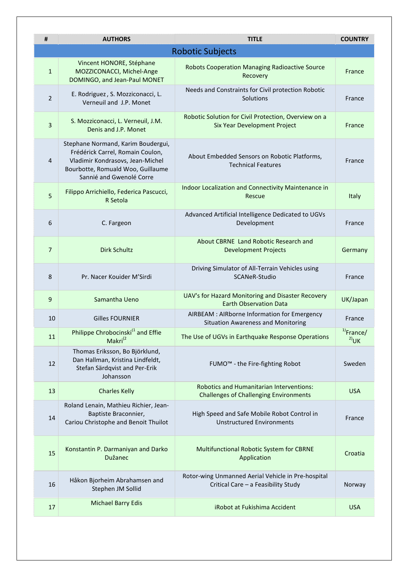| #              | <b>AUTHORS</b>                                                                                                                                                              | <b>TITLE</b>                                                                              | <b>COUNTRY</b>          |  |  |
|----------------|-----------------------------------------------------------------------------------------------------------------------------------------------------------------------------|-------------------------------------------------------------------------------------------|-------------------------|--|--|
|                | <b>Robotic Subjects</b>                                                                                                                                                     |                                                                                           |                         |  |  |
| $\mathbf{1}$   | Vincent HONORE, Stéphane<br>MOZZICONACCI, Michel-Ange<br>DOMINGO, and Jean-Paul MONET                                                                                       | Robots Cooperation Managing Radioactive Source<br>Recovery                                | France                  |  |  |
| $\overline{2}$ | E. Rodriguez, S. Mozziconacci, L.<br>Verneuil and J.P. Monet                                                                                                                | Needs and Constraints for Civil protection Robotic<br>Solutions                           | France                  |  |  |
| $\overline{3}$ | S. Mozziconacci, L. Verneuil, J.M.<br>Denis and J.P. Monet                                                                                                                  | Robotic Solution for Civil Protection, Overview on a<br>Six Year Development Project      | France                  |  |  |
| 4              | Stephane Normand, Karim Boudergui,<br>Frédérick Carrel, Romain Coulon,<br>Vladimir Kondrasovs, Jean-Michel<br>Bourbotte, Romuald Woo, Guillaume<br>Sannié and Gwenolé Corre | About Embedded Sensors on Robotic Platforms,<br><b>Technical Features</b>                 | France                  |  |  |
| 5              | Filippo Arrichiello, Federica Pascucci,<br>R Setola                                                                                                                         | Indoor Localization and Connectivity Maintenance in<br>Rescue                             | Italy                   |  |  |
| 6              | C. Fargeon                                                                                                                                                                  | Advanced Artificial Intelligence Dedicated to UGVs<br>Development                         | France                  |  |  |
| $\overline{7}$ | <b>Dirk Schultz</b>                                                                                                                                                         | About CBRNE Land Robotic Research and<br><b>Development Projects</b>                      | Germany                 |  |  |
| 8              | Pr. Nacer Kouider M'Sirdi                                                                                                                                                   | Driving Simulator of All-Terrain Vehicles using<br>SCANeR-Studio                          | France                  |  |  |
| 9              | Samantha Ueno                                                                                                                                                               | UAV's for Hazard Monitoring and Disaster Recovery<br><b>Earth Observation Data</b>        | UK/Japan                |  |  |
| 10             | <b>Gilles FOURNIER</b>                                                                                                                                                      | AIRBEAM : AIRborne Information for Emergency<br><b>Situation Awareness and Monitoring</b> | France                  |  |  |
| 11             | Philippe Chrobocinski <sup>(1</sup> and Effie<br>Makri <sup>(2</sup>                                                                                                        | The Use of UGVs in Earthquake Response Operations                                         | $1)$ France/<br>$2)$ UK |  |  |
| 12             | Thomas Eriksson, Bo Björklund,<br>Dan Hallman, Kristina Lindfeldt,<br>Stefan Särdqvist and Per-Erik<br>Johansson                                                            | FUMO <sup>™</sup> - the Fire-fighting Robot                                               | Sweden                  |  |  |
| 13             | <b>Charles Kelly</b>                                                                                                                                                        | Robotics and Humanitarian Interventions:<br><b>Challenges of Challenging Environments</b> | <b>USA</b>              |  |  |
| 14             | Roland Lenain, Mathieu Richier, Jean-<br>Baptiste Braconnier,<br>Cariou Christophe and Benoit Thuilot                                                                       | High Speed and Safe Mobile Robot Control in<br><b>Unstructured Environments</b>           | France                  |  |  |
| 15             | Konstantin P. Darmaniyan and Darko<br><b>Dužanec</b>                                                                                                                        | Multifunctional Robotic System for CBRNE<br>Application                                   | Croatia                 |  |  |
| 16             | Håkon Bjorheim Abrahamsen and<br>Stephen JM Sollid                                                                                                                          | Rotor-wing Unmanned Aerial Vehicle in Pre-hospital<br>Critical Care - a Feasibility Study | Norway                  |  |  |
| 17             | <b>Michael Barry Edis</b>                                                                                                                                                   | iRobot at Fukishima Accident                                                              | <b>USA</b>              |  |  |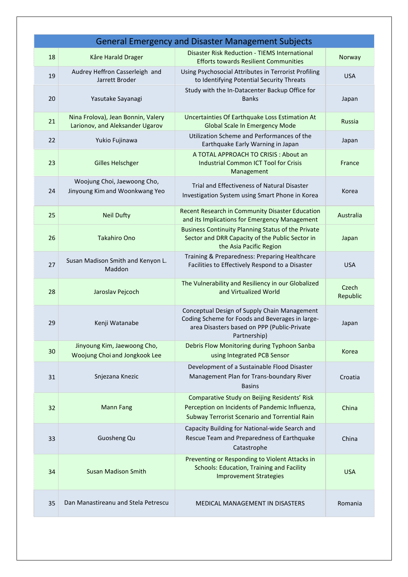|    |                                                                       | <b>General Emergency and Disaster Management Subjects</b>                                                                                                      |                   |
|----|-----------------------------------------------------------------------|----------------------------------------------------------------------------------------------------------------------------------------------------------------|-------------------|
| 18 | Kåre Harald Drager                                                    | <b>Disaster Risk Reduction - TIEMS International</b><br><b>Efforts towards Resilient Communities</b>                                                           | Norway            |
| 19 | Audrey Heffron Casserleigh and<br>Jarrett Broder                      | Using Psychosocial Attributes in Terrorist Profiling<br>to Identifying Potential Security Threats                                                              | <b>USA</b>        |
| 20 | Yasutake Sayanagi                                                     | Study with the In-Datacenter Backup Office for<br><b>Banks</b>                                                                                                 | Japan             |
| 21 | Nina Frolova), Jean Bonnin, Valery<br>Larionov, and Aleksander Ugarov | Uncertainties Of Earthquake Loss Estimation At<br><b>Global Scale In Emergency Mode</b>                                                                        | <b>Russia</b>     |
| 22 | Yukio Fujinawa                                                        | Utilization Scheme and Performances of the<br>Earthquake Early Warning in Japan                                                                                | Japan             |
| 23 | <b>Gilles Helschger</b>                                               | A TOTAL APPROACH TO CRISIS : About an<br><b>Industrial Common ICT Tool for Crisis</b><br>Management                                                            | France            |
| 24 | Woojung Choi, Jaewoong Cho,<br>Jinyoung Kim and Woonkwang Yeo         | Trial and Effectiveness of Natural Disaster<br>Investigation System using Smart Phone in Korea                                                                 | Korea             |
| 25 | <b>Neil Dufty</b>                                                     | Recent Research in Community Disaster Education<br>and its Implications for Emergency Management                                                               | Australia         |
| 26 | <b>Takahiro Ono</b>                                                   | <b>Business Continuity Planning Status of the Private</b><br>Sector and DRR Capacity of the Public Sector in<br>the Asia Pacific Region                        | Japan             |
| 27 | Susan Madison Smith and Kenyon L.<br>Maddon                           | Training & Preparedness: Preparing Healthcare<br>Facilities to Effectively Respond to a Disaster                                                               | <b>USA</b>        |
| 28 | Jaroslav Pejcoch                                                      | The Vulnerability and Resiliency in our Globalized<br>and Virtualized World                                                                                    | Czech<br>Republic |
| 29 | Kenji Watanabe                                                        | Conceptual Design of Supply Chain Management<br>Coding Scheme for Foods and Beverages in large-<br>area Disasters based on PPP (Public-Private<br>Partnership) | Japan             |
| 30 | Jinyoung Kim, Jaewoong Cho,<br>Woojung Choi and Jongkook Lee          | Debris Flow Monitoring during Typhoon Sanba<br>using Integrated PCB Sensor                                                                                     | Korea             |
| 31 | Snjezana Knezic                                                       | Development of a Sustainable Flood Disaster<br>Management Plan for Trans-boundary River<br><b>Basins</b>                                                       | Croatia           |
| 32 | <b>Mann Fang</b>                                                      | Comparative Study on Beijing Residents' Risk<br>Perception on Incidents of Pandemic Influenza,<br>Subway Terrorist Scenario and Torrential Rain                | China             |
| 33 | Guosheng Qu                                                           | Capacity Building for National-wide Search and<br>Rescue Team and Preparedness of Earthquake<br>Catastrophe                                                    | China             |
| 34 | <b>Susan Madison Smith</b>                                            | Preventing or Responding to Violent Attacks in<br><b>Schools: Education, Training and Facility</b><br><b>Improvement Strategies</b>                            | <b>USA</b>        |
| 35 | Dan Manastireanu and Stela Petrescu                                   | <b>MEDICAL MANAGEMENT IN DISASTERS</b>                                                                                                                         | Romania           |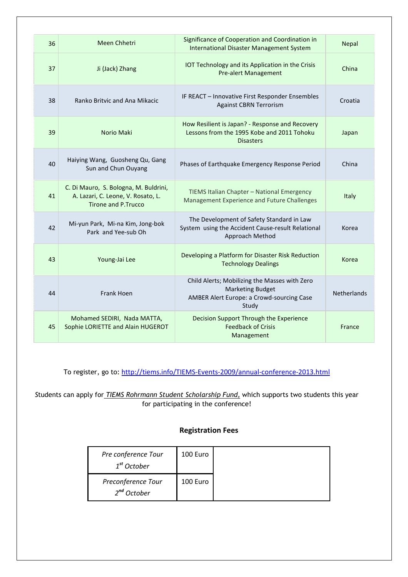| 36 | Meen Chhetri                                                                                        | Significance of Cooperation and Coordination in<br><b>International Disaster Management System</b>                             | <b>Nepal</b>       |
|----|-----------------------------------------------------------------------------------------------------|--------------------------------------------------------------------------------------------------------------------------------|--------------------|
| 37 | Ji (Jack) Zhang                                                                                     | IOT Technology and its Application in the Crisis<br><b>Pre-alert Management</b>                                                | China              |
| 38 | Ranko Britvic and Ana Mikacic                                                                       | IF REACT - Innovative First Responder Ensembles<br><b>Against CBRN Terrorism</b>                                               | Croatia            |
| 39 | Norio Maki                                                                                          | How Resilient is Japan? - Response and Recovery<br>Lessons from the 1995 Kobe and 2011 Tohoku<br><b>Disasters</b>              | Japan              |
| 40 | Haiying Wang, Guosheng Qu, Gang<br>Sun and Chun Ouyang                                              | Phases of Earthquake Emergency Response Period                                                                                 | China              |
| 41 | C. Di Mauro, S. Bologna, M. Buldrini,<br>A. Lazari, C. Leone, V. Rosato, L.<br>Tirone and P. Trucco | TIEMS Italian Chapter - National Emergency<br>Management Experience and Future Challenges                                      | <b>Italy</b>       |
| 42 | Mi-yun Park, Mi-na Kim, Jong-bok<br>Park and Yee-sub Oh                                             | The Development of Safety Standard in Law<br>System using the Accident Cause-result Relational<br>Approach Method              | Korea              |
| 43 | Young-Jai Lee                                                                                       | Developing a Platform for Disaster Risk Reduction<br><b>Technology Dealings</b>                                                | Korea              |
| 44 | <b>Frank Hoen</b>                                                                                   | Child Alerts; Mobilizing the Masses with Zero<br><b>Marketing Budget</b><br>AMBER Alert Europe: a Crowd-sourcing Case<br>Study | <b>Netherlands</b> |
| 45 | Mohamed SEDIRI, Nada MATTA,<br>Sophie LORIETTE and Alain HUGEROT                                    | Decision Support Through the Experience<br><b>Feedback of Crisis</b><br>Management                                             | France             |

To register, go to: http://tiems.info/TIEMS-Events-2009/annual-conference-2013.html

*S*tudents can apply for *TIEMS Rohrmann Student Scholarship Fund,* which supports two students this year for participating in the conference!

### **Registration Fees**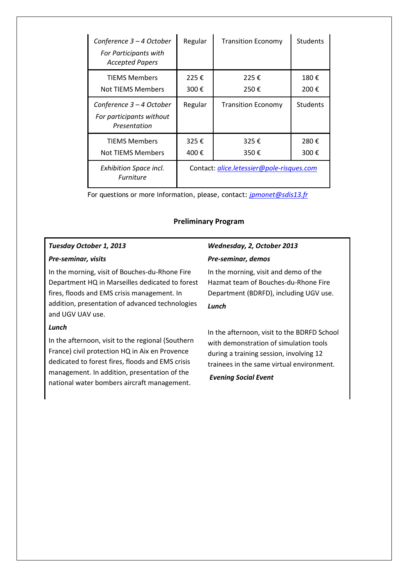| Conference 3 - 4 October<br>For Participants with<br><b>Accepted Papers</b> | Regular                                   | <b>Transition Economy</b> | <b>Students</b> |
|-----------------------------------------------------------------------------|-------------------------------------------|---------------------------|-----------------|
| <b>TIFMS Members</b><br>Not TIEMS Members                                   | 225€<br>300€                              | 225€<br>250€              | 180€<br>200€    |
| Conference 3 – 4 October<br>For participants without<br>Presentation        | Regular                                   | <b>Transition Economy</b> | <b>Students</b> |
| <b>TIFMS Members</b><br>Not TIEMS Members                                   | 325€<br>400€                              | 325€<br>350€              | 280€<br>300€    |
| <b>Exhibition Space incl.</b><br><b>Furniture</b>                           | Contact: alice.letessier@pole-risques.com |                           |                 |

For questions or more information, please, contact: *jpmonet@sdis13.fr*

#### **Preliminary Program**

# *Tuesday October 1, 2013*

#### *Pre-seminar, visits*

In the morning, visit of Bouches-du-Rhone Fire Department HQ in Marseilles dedicated to forest fires, floods and EMS crisis management. In addition, presentation of advanced technologies and UGV UAV use.

#### *Lunch*

In the afternoon, visit to the regional (Southern France) civil protection HQ in Aix en Provence dedicated to forest fires, floods and EMS crisis management. In addition, presentation of the national water bombers aircraft management.

# *Wednesday, 2, October 2013 Pre-seminar, demos*

In the morning, visit and demo of the Hazmat team of Bouches-du-Rhone Fire Department (BDRFD), including UGV use.

### *Lunch*

In the afternoon, visit to the BDRFD School with demonstration of simulation tools during a training session, involving 12 trainees in the same virtual environment.

#### *Evening Social Event*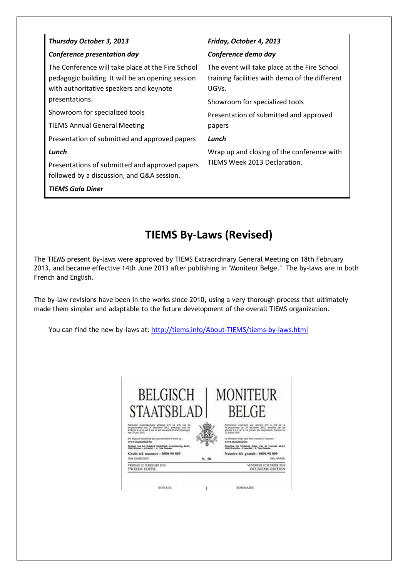| Thursday October 3, 2013                                                                                                                          | Friday, October 4, 2013                                                                                 |  |
|---------------------------------------------------------------------------------------------------------------------------------------------------|---------------------------------------------------------------------------------------------------------|--|
| <b>Conference presentation day</b>                                                                                                                | Conference demo day                                                                                     |  |
| The Conference will take place at the Fire School<br>pedagogic building. It will be an opening session<br>with authoritative speakers and keynote | The event will take place at the Fire School<br>training facilities with demo of the different<br>UGVs. |  |
| presentations.                                                                                                                                    | Showroom for specialized tools<br>Presentation of submitted and approved<br>papers                      |  |
| Showroom for specialized tools                                                                                                                    |                                                                                                         |  |
| <b>TIEMS Annual General Meeting</b>                                                                                                               |                                                                                                         |  |
| Presentation of submitted and approved papers                                                                                                     | Lunch                                                                                                   |  |
| Lunch                                                                                                                                             | Wrap up and closing of the conference with<br>TIEMS Week 2013 Declaration.                              |  |
| Presentations of submitted and approved papers<br>followed by a discussion, and Q&A session.<br><b>TIEMS Gala Diner</b>                           |                                                                                                         |  |

# **TIEMS By-Laws (Revised)**

The TIEMS present By-laws were approved by TIEMS Extraordinary General Meeting on 18th February 2013, and became effective 14th June 2013 after publishing in "Moniteur Belge." The by-laws are in both French and English.

The by-law revisions have been in the works since 2010, using a very thorough process that ultimately made them simpler and adaptable to the future development of the overall TIEMS organization.

You can find the new by-laws at: http://tiems.info/About-TIEMS/tiems-by-laws.html



INHOUD **SOMMARE** ï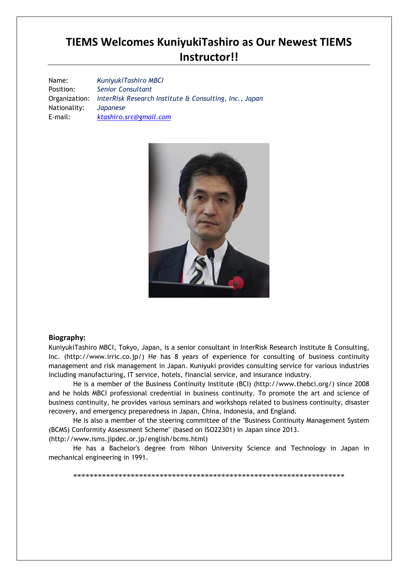# **TIEMS Welcomes KuniyukiTashiro as Our Newest TIEMS Instructor!!**

Name: *KuniyukiTashiro MBCI* Position: *Senior Consultant*  Organization: *InterRisk Research Institute & Consulting, Inc., Japan*  Nationality: *Japanese* E-mail: *ktashiro.src@gmail.com* 



#### **Biography:**

KuniyukiTashiro MBCI, Tokyo, Japan, is a senior consultant in InterRisk Research Institute & Consulting, Inc. (http://www.irric.co.jp/) He has 8 years of experience for consulting of business continuity management and risk management in Japan. Kuniyuki provides consulting service for various industries including manufacturing, IT service, hotels, financial service, and insurance industry.

He is a member of the Business Continuity Institute (BCI) (http://www.thebci.org/) since 2008 and he holds MBCI professional credential in business continuity. To promote the art and science of business continuity, he provides various seminars and workshops related to business continuity, disaster recovery, and emergency preparedness in Japan, China, Indonesia, and England.

He is also a member of the steering committee of the "Business Continuity Management System (BCMS) Conformity Assessment Scheme" (based on ISO22301) in Japan since 2013.

(http://www.isms.jipdec.or.jp/english/bcms.html)

He has a Bachelor's degree from Nihon University Science and Technology in Japan in mechanical engineering in 1991.

\*\*\*\*\*\*\*\*\*\*\*\*\*\*\*\*\*\*\*\*\*\*\*\*\*\*\*\*\*\*\*\*\*\*\*\*\*\*\*\*\*\*\*\*\*\*\*\*\*\*\*\*\*\*\*\*\*\*\*\*\*\*\*\*\*\*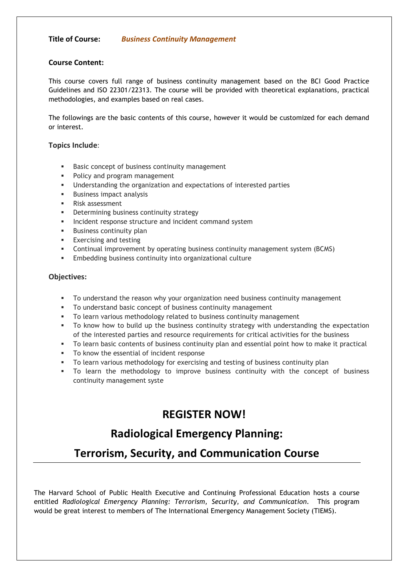#### **Title of Course:** *Business Continuity Management*

#### **Course Content:**

This course covers full range of business continuity management based on the BCI Good Practice Guidelines and ISO 22301/22313. The course will be provided with theoretical explanations, practical methodologies, and examples based on real cases.

The followings are the basic contents of this course, however it would be customized for each demand or interest.

#### **Topics Include**:

- -Basic concept of business continuity management
- **•** Policy and program management
- Understanding the organization and expectations of interested parties
- **Business impact analysis**
- -Risk assessment
- **•** Determining business continuity strategy
- **Incident response structure and incident command system**
- -Business continuity plan
- **Exercising and testing**
- -Continual improvement by operating business continuity management system (BCMS)
- **Embedding business continuity into organizational culture**

#### **Objectives:**

- -To understand the reason why your organization need business continuity management
- -To understand basic concept of business continuity management
- To learn various methodology related to business continuity management
- To know how to build up the business continuity strategy with understanding the expectation of the interested parties and resource requirements for critical activities for the business
- To learn basic contents of business continuity plan and essential point how to make it practical
- To know the essential of incident response
- -To learn various methodology for exercising and testing of business continuity plan
- To learn the methodology to improve business continuity with the concept of business continuity management syste

# **REGISTER NOW!**

# **Radiological Emergency Planning:**

# **Terrorism, Security, and Communication Course**

The Harvard School of Public Health Executive and Continuing Professional Education hosts a course entitled *Radiological Emergency Planning: Terrorism, Security, and Communication*. This program would be great interest to members of The International Emergency Management Society (TIEMS).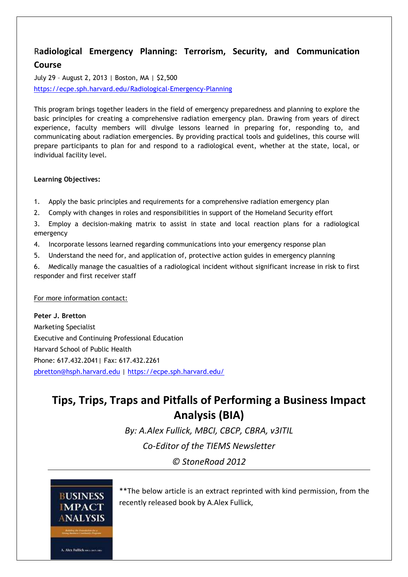# R**adiological Emergency Planning: Terrorism, Security, and Communication Course**

July 29 – August 2, 2013 | Boston, MA | \$2,500 https://ecpe.sph.harvard.edu/Radiological-Emergency-Planning

This program brings together leaders in the field of emergency preparedness and planning to explore the basic principles for creating a comprehensive radiation emergency plan. Drawing from years of direct experience, faculty members will divulge lessons learned in preparing for, responding to, and communicating about radiation emergencies. By providing practical tools and guidelines, this course will prepare participants to plan for and respond to a radiological event, whether at the state, local, or individual facility level.

### **Learning Objectives:**

- 1. Apply the basic principles and requirements for a comprehensive radiation emergency plan
- 2. Comply with changes in roles and responsibilities in support of the Homeland Security effort

3. Employ a decision-making matrix to assist in state and local reaction plans for a radiological emergency

- 4. Incorporate lessons learned regarding communications into your emergency response plan
- 5. Understand the need for, and application of, protective action guides in emergency planning

6. Medically manage the casualties of a radiological incident without significant increase in risk to first responder and first receiver staff

For more information contact:

**Peter J. Bretton**  Marketing Specialist Executive and Continuing Professional Education Harvard School of Public Health Phone: 617.432.2041| Fax: 617.432.2261 pbretton@hsph.harvard.edu | https://ecpe.sph.harvard.edu/

# **Tips, Trips, Traps and Pitfalls of Performing a Business Impact Analysis (BIA)**

*By: A.Alex Fullick, MBCI, CBCP, CBRA, v3ITIL Co-Editor of the TIEMS Newsletter © StoneRoad 2012* 



A. Alex Fullick success cas-

\*\*The below article is an extract reprinted with kind permission, from the recently released book by A.Alex Fullick,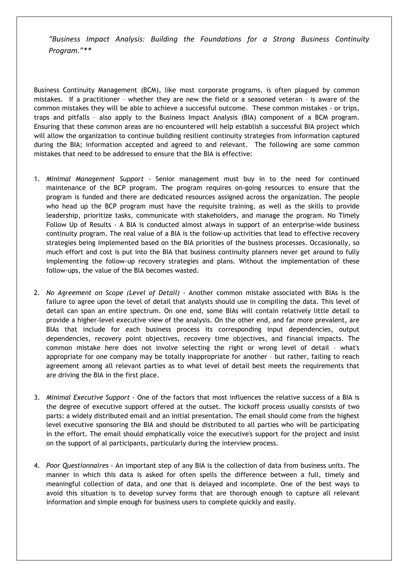*"Business Impact Analysis: Building the Foundations for a Strong Business Continuity Program."\*\** 

Business Continuity Management (BCM), like most corporate programs, is often plagued by common mistakes. If a practitioner – whether they are new the field or a seasoned veteran – is aware of the common mistakes they will be able to achieve a successful outcome. These common mistakes - or trips, traps and pitfalls – also apply to the Business Impact Analysis (BIA) component of a BCM program. Ensuring that these common areas are no encountered will help establish a successful BIA project which will allow the organization to continue building resilient continuity strategies from information captured during the BIA; information accepted and agreed to and relevant. The following are some common mistakes that need to be addressed to ensure that the BIA is effective:

- 1. *Minimal Management Support* Senior management must buy in to the need for continued maintenance of the BCP program. The program requires on-going resources to ensure that the program is funded and there are dedicated resources assigned across the organization. The people who head up the BCP program must have the requisite training, as well as the skills to provide leadership, prioritize tasks, communicate with stakeholders, and manage the program. No Timely Follow Up of Results - A BIA is conducted almost always in support of an enterprise-wide business continuity program. The real value of a BIA is the follow-up activities that lead to effective recovery strategies being implemented based on the BIA priorities of the business processes. Occasionally, so much effort and cost is put into the BIA that business continuity planners never get around to fully implementing the follow-up recovery strategies and plans. Without the implementation of these follow-ups, the value of the BIA becomes wasted.
- 2. *No Agreement on Scope (Level of Detail)* Another common mistake associated with BIAs is the failure to agree upon the level of detail that analysts should use in compiling the data. This level of detail can span an entire spectrum. On one end, some BIAs will contain relatively little detail to provide a higher-level executive view of the analysis. On the other end, and far more prevalent, are BIAs that include for each business process its corresponding input dependencies, output dependencies, recovery point objectives, recovery time objectives, and financial impacts. The common mistake here does not involve selecting the right or wrong level of detail – what's appropriate for one company may be totally inappropriate for another – but rather, failing to reach agreement among all relevant parties as to what level of detail best meets the requirements that are driving the BIA in the first place.
- 3. *Minimal Executive Support -* One of the factors that most influences the relative success of a BIA is the degree of executive support offered at the outset. The kickoff process usually consists of two parts: a widely distributed email and an initial presentation. The email should come from the highest level executive sponsoring the BIA and should be distributed to all parties who will be participating in the effort. The email should emphatically voice the executive's support for the project and insist on the support of al participants, particularly during the interview process.
- 4. *Poor Questionnaires* An important step of any BIA is the collection of data from business units. The manner in which this data is asked for often spells the difference between a full, timely and meaningful collection of data, and one that is delayed and incomplete. One of the best ways to avoid this situation is to develop survey forms that are thorough enough to capture all relevant information and simple enough for business users to complete quickly and easily.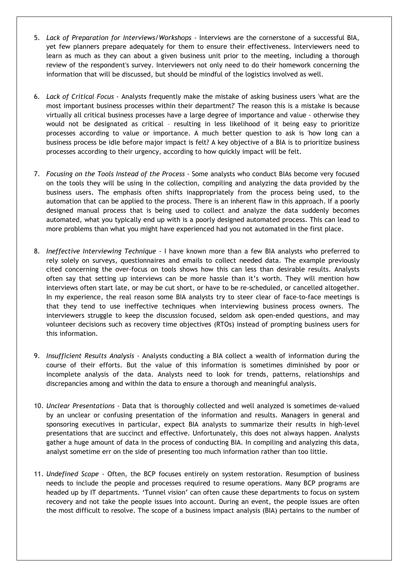- 5. *Lack of Preparation for Interviews/Workshops* Interviews are the cornerstone of a successful BIA, yet few planners prepare adequately for them to ensure their effectiveness. Interviewers need to learn as much as they can about a given business unit prior to the meeting, including a thorough review of the respondent's survey. Interviewers not only need to do their homework concerning the information that will be discussed, but should be mindful of the logistics involved as well.
- 6. *Lack of Critical Focus* Analysts frequently make the mistake of asking business users 'what are the most important business processes within their department?' The reason this is a mistake is because virtually all critical business processes have a large degree of importance and value - otherwise they would not be designated as critical – resulting in less likelihood of it being easy to prioritize processes according to value or importance. A much better question to ask is 'how long can a business process be idle before major impact is felt? A key objective of a BIA is to prioritize business processes according to their urgency, according to how quickly impact will be felt.
- 7. *Focusing on the Tools Instead of the Process -* Some analysts who conduct BIAs become very focused on the tools they will be using in the collection, compiling and analyzing the data provided by the business users. The emphasis often shifts inappropriately from the process being used, to the automation that can be applied to the process. There is an inherent flaw in this approach. If a poorly designed manual process that is being used to collect and analyze the data suddenly becomes automated, what you typically end up with is a poorly designed automated process. This can lead to more problems than what you might have experienced had you not automated in the first place.
- 8. *Ineffective Interviewing Technique* I have known more than a few BIA analysts who preferred to rely solely on surveys, questionnaires and emails to collect needed data. The example previously cited concerning the over-focus on tools shows how this can less than desirable results. Analysts often say that setting up interviews can be more hassle than it's worth. They will mention how interviews often start late, or may be cut short, or have to be re-scheduled, or cancelled altogether. In my experience, the real reason some BIA analysts try to steer clear of face-to-face meetings is that they tend to use ineffective techniques when interviewing business process owners. The interviewers struggle to keep the discussion focused, seldom ask open-ended questions, and may volunteer decisions such as recovery time objectives (RTOs) instead of prompting business users for this information.
- 9. *Insufficient Results Analysis* Analysts conducting a BIA collect a wealth of information during the course of their efforts. But the value of this information is sometimes diminished by poor or incomplete analysis of the data. Analysts need to look for trends, patterns, relationships and discrepancies among and within the data to ensure a thorough and meaningful analysis.
- 10. *Unclear Presentations -* Data that is thoroughly collected and well analyzed is sometimes de-valued by an unclear or confusing presentation of the information and results. Managers in general and sponsoring executives in particular, expect BIA analysts to summarize their results in high-level presentations that are succinct and effective. Unfortunately, this does not always happen. Analysts gather a huge amount of data in the process of conducting BIA. In compiling and analyzing this data, analyst sometime err on the side of presenting too much information rather than too little.
- 11. *Undefined Scope* Often, the BCP focuses entirely on system restoration. Resumption of business needs to include the people and processes required to resume operations. Many BCP programs are headed up by IT departments. 'Tunnel vision' can often cause these departments to focus on system recovery and not take the people issues into account. During an event, the people issues are often the most difficult to resolve. The scope of a business impact analysis (BIA) pertains to the number of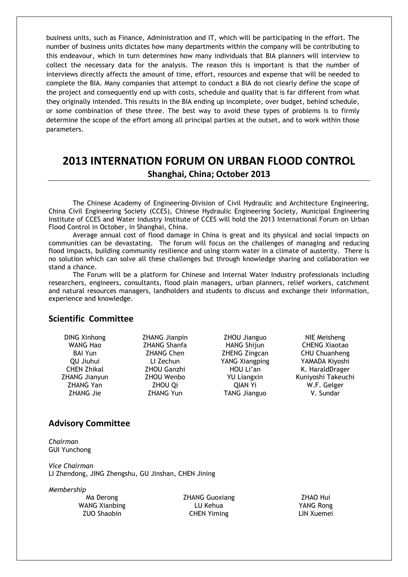business units, such as Finance, Administration and IT, which will be participating in the effort. The number of business units dictates how many departments within the company will be contributing to this endeavour, which in turn determines how many individuals that BIA planners will interview to collect the necessary data for the analysis. The reason this is important is that the number of interviews directly affects the amount of time, effort, resources and expense that will be needed to complete the BIA. Many companies that attempt to conduct a BIA do not clearly define the scope of the project and consequently end up with costs, schedule and quality that is far different from what they originally intended. This results in the BIA ending up incomplete, over budget, behind schedule, or some combination of these three. The best way to avoid these types of problems is to firmly determine the scope of the effort among all principal parties at the outset, and to work within those parameters.

# **2013 INTERNATION FORUM ON URBAN FLOOD CONTROL Shanghai, China; October 2013**

The Chinese Academy of Engineering-Division of Civil Hydraulic and Architecture Engineering, China Civil Engineering Society (CCES), Chinese Hydraulic Engineering Society, Municipal Engineering Institute of CCES and Water Industry Institute of CCES will hold the 2013 International Forum on Urban Flood Control in October, in Shanghai, China.

Average annual cost of flood damage in China is great and its physical and social impacts on communities can be devastating. The forum will focus on the challenges of managing and reducing flood impacts, building community resilience and using storm water in a climate of austerity. There is no solution which can solve all these challenges but through knowledge sharing and collaboration we stand a chance.

The Forum will be a platform for Chinese and Internal Water Industry professionals including researchers, engineers, consultants, flood plain managers, urban planners, relief workers, catchment and natural resources managers, landholders and students to discuss and exchange their information, experience and knowledge.

### **Scientific Committee**

ZHANG Yan ZHOU Qi QIAN Yi W.F. Gelger ZHANG Jie and ZHANG Yun TANG Jianguo V. Sundar

DING Xinhong ZHANG Jianpin ZHOU Jianguo NIE Meisheng WANG Hao ZHANG Shanfa HANG Shijun CHENG Xiaotao BAI Yun ZHANG Chen ZHENG Zingcan CHU Chuanheng QU Jiuhui LI Zechun YANG Xiangping YAMADA Kiyoshi CHEN Zhikal ZHOU Ganzhi HOU Li'an K. HaraldDrager ZHANG Jianyun ZHOU Wenbo YU Liangxin Kuniyoshi Takeuchi

### **Advisory Committee**

*Chairman*  GUI Yunchong

*Vice Chairman*  LI Zhendong, JING Zhengshu, GU Jinshan, CHEN Jining

*Membership* 

Ma Derong 2HANG Guoxiang 2HAO Hui WANG Xianbing LU Kehua YANG Rong ZUO Shaobin CHEN Yiming LIN Xuemei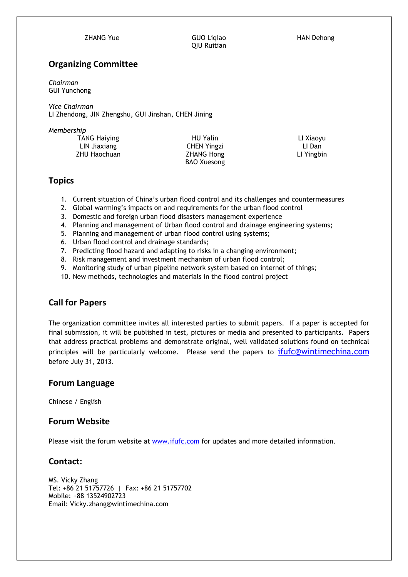QIU Ruitian

ZHANG Yue GUO Liqiao HAN Dehong

### **Organizing Committee**

*Chairman*  GUI Yunchong

*Vice Chairman*  LI Zhendong, JIN Zhengshu, GUI Jinshan, CHEN Jining

*Membership* 

TANG Haiying **HU Yalin** HU Yalin LI Xiaoyu LIN Jiaxiang CHEN Yingzi LI Dan ZHU Haochuan ZHANG Hong LI Yingbin

BAO Xuesong

### **Topics**

- 1. Current situation of China's urban flood control and its challenges and countermeasures
- 2. Global warming's impacts on and requirements for the urban flood control
- 3. Domestic and foreign urban flood disasters management experience
- 4. Planning and management of Urban flood control and drainage engineering systems;
- 5. Planning and management of urban flood control using systems;
- 6. Urban flood control and drainage standards;
- 7. Predicting flood hazard and adapting to risks in a changing environment;
- 8. Risk management and investment mechanism of urban flood control;
- 9. Monitoring study of urban pipeline network system based on internet of things;
- 10. New methods, technologies and materials in the flood control project

# **Call for Papers**

The organization committee invites all interested parties to submit papers. If a paper is accepted for final submission, it will be published in test, pictures or media and presented to participants. Papers that address practical problems and demonstrate original, well validated solutions found on technical principles will be particularly welcome. Please send the papers to ifufc@wintimechina.com before July 31, 2013.

### **Forum Language**

Chinese / English

### **Forum Website**

Please visit the forum website at www.ifufc.com for updates and more detailed information.

### **Contact:**

MS. Vicky Zhang Tel: +86 21 51757726 | Fax: +86 21 51757702 Mobile: +88 13524902723 Email: Vicky.zhang@wintimechina.com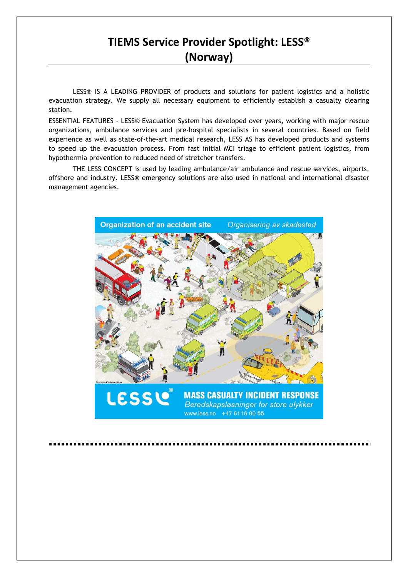# **TIEMS Service Provider Spotlight: LESS® (Norway)**

LESS® IS A LEADING PROVIDER of products and solutions for patient logistics and a holistic evacuation strategy. We supply all necessary equipment to efficiently establish a casualty clearing station.

ESSENTIAL FEATURES - LESS® Evacuation System has developed over years, working with major rescue organizations, ambulance services and pre-hospital specialists in several countries. Based on field experience as well as state-of-the-art medical research, LESS AS has developed products and systems to speed up the evacuation process. From fast initial MCI triage to efficient patient logistics, from hypothermia prevention to reduced need of stretcher transfers.

THE LESS CONCEPT is used by leading ambulance/air ambulance and rescue services, airports, offshore and industry. LESS® emergency solutions are also used in national and international disaster management agencies.

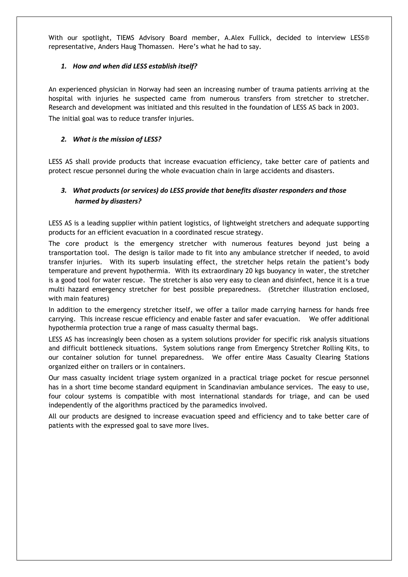With our spotlight, TIEMS Advisory Board member, A.Alex Fullick, decided to interview LESS® representative, Anders Haug Thomassen. Here's what he had to say.

#### *1. How and when did LESS establish itself?*

An experienced physician in Norway had seen an increasing number of trauma patients arriving at the hospital with injuries he suspected came from numerous transfers from stretcher to stretcher. Research and development was initiated and this resulted in the foundation of LESS AS back in 2003. The initial goal was to reduce transfer injuries.

#### *2. What is the mission of LESS?*

LESS AS shall provide products that increase evacuation efficiency, take better care of patients and protect rescue personnel during the whole evacuation chain in large accidents and disasters.

### *3. What products (or services) do LESS provide that benefits disaster responders and those harmed by disasters?*

LESS AS is a leading supplier within patient logistics, of lightweight stretchers and adequate supporting products for an efficient evacuation in a coordinated rescue strategy.

The core product is the emergency stretcher with numerous features beyond just being a transportation tool. The design is tailor made to fit into any ambulance stretcher if needed, to avoid transfer injuries. With its superb insulating effect, the stretcher helps retain the patient's body temperature and prevent hypothermia. With its extraordinary 20 kgs buoyancy in water, the stretcher is a good tool for water rescue. The stretcher is also very easy to clean and disinfect, hence it is a true multi hazard emergency stretcher for best possible preparedness. (Stretcher illustration enclosed, with main features)

In addition to the emergency stretcher itself, we offer a tailor made carrying harness for hands free carrying. This increase rescue efficiency and enable faster and safer evacuation. We offer additional hypothermia protection true a range of mass casualty thermal bags.

LESS AS has increasingly been chosen as a system solutions provider for specific risk analysis situations and difficult bottleneck situations. System solutions range from Emergency Stretcher Rolling Kits, to our container solution for tunnel preparedness. We offer entire Mass Casualty Clearing Stations organized either on trailers or in containers.

Our mass casualty incident triage system organized in a practical triage pocket for rescue personnel has in a short time become standard equipment in Scandinavian ambulance services. The easy to use, four colour systems is compatible with most international standards for triage, and can be used independently of the algorithms practiced by the paramedics involved.

All our products are designed to increase evacuation speed and efficiency and to take better care of patients with the expressed goal to save more lives.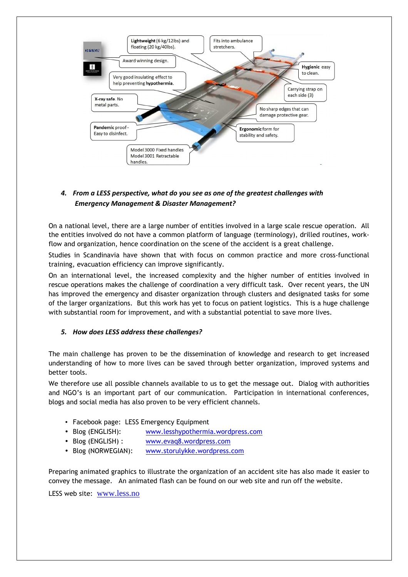

### *4. From a LESS perspective, what do you see as one of the greatest challenges with Emergency Management & Disaster Management?*

On a national level, there are a large number of entities involved in a large scale rescue operation. All the entities involved do not have a common platform of language (terminology), drilled routines, workflow and organization, hence coordination on the scene of the accident is a great challenge.

Studies in Scandinavia have shown that with focus on common practice and more cross-functional training, evacuation efficiency can improve significantly.

On an international level, the increased complexity and the higher number of entities involved in rescue operations makes the challenge of coordination a very difficult task. Over recent years, the UN has improved the emergency and disaster organization through clusters and designated tasks for some of the larger organizations. But this work has yet to focus on patient logistics. This is a huge challenge with substantial room for improvement, and with a substantial potential to save more lives.

### *5. How does LESS address these challenges?*

The main challenge has proven to be the dissemination of knowledge and research to get increased understanding of how to more lives can be saved through better organization, improved systems and better tools.

We therefore use all possible channels available to us to get the message out. Dialog with authorities and NGO's is an important part of our communication. Participation in international conferences, blogs and social media has also proven to be very efficient channels.

- Facebook page: LESS Emergency Equipment
- Blog (ENGLISH): www.lesshypothermia.wordpress.com
- Blog (ENGLISH) : www.evaq8.wordpress.com
- Blog (NORWEGIAN): www.storulykke.wordpress.com

Preparing animated graphics to illustrate the organization of an accident site has also made it easier to convey the message. An animated flash can be found on our web site and run off the website.

LESS web site: www.less.no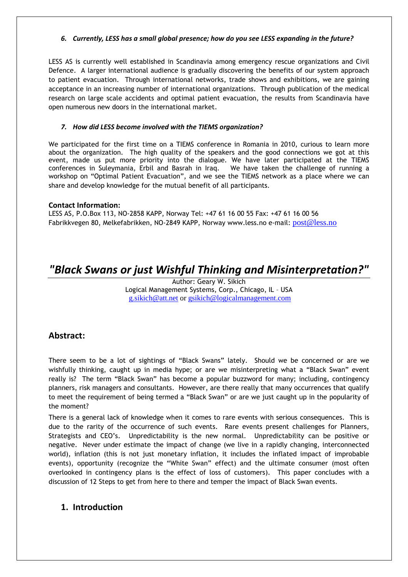#### *6. Currently, LESS has a small global presence; how do you see LESS expanding in the future?*

LESS AS is currently well established in Scandinavia among emergency rescue organizations and Civil Defence. A larger international audience is gradually discovering the benefits of our system approach to patient evacuation. Through international networks, trade shows and exhibitions, we are gaining acceptance in an increasing number of international organizations. Through publication of the medical research on large scale accidents and optimal patient evacuation, the results from Scandinavia have open numerous new doors in the international market.

#### *7. How did LESS become involved with the TIEMS organization?*

We participated for the first time on a TIEMS conference in Romania in 2010, curious to learn more about the organization. The high quality of the speakers and the good connections we got at this event, made us put more priority into the dialogue. We have later participated at the TIEMS conferences in Suleymania, Erbil and Basrah in Iraq. We have taken the challenge of running a workshop on "Optimal Patient Evacuation", and we see the TIEMS network as a place where we can share and develop knowledge for the mutual benefit of all participants.

#### **Contact Information:**

LESS AS, P.O.Box 113, NO-2858 KAPP, Norway Tel: +47 61 16 00 55 Fax: +47 61 16 00 56 Fabrikkvegen 80, Melkefabrikken, NO-2849 KAPP, Norway www.less.no e-mail: post@less.no

# *"Black Swans or just Wishful Thinking and Misinterpretation?"*

Author: Geary W. Sikich Logical Management Systems, Corp., Chicago, IL – USA g.sikich@att.net or gsikich@logicalmanagement.com

### **Abstract:**

There seem to be a lot of sightings of "Black Swans" lately. Should we be concerned or are we wishfully thinking, caught up in media hype; or are we misinterpreting what a "Black Swan" event really is? The term "Black Swan" has become a popular buzzword for many; including, contingency planners, risk managers and consultants. However, are there really that many occurrences that qualify to meet the requirement of being termed a "Black Swan" or are we just caught up in the popularity of the moment?

There is a general lack of knowledge when it comes to rare events with serious consequences. This is due to the rarity of the occurrence of such events. Rare events present challenges for Planners, Strategists and CEO's. Unpredictability is the new normal. Unpredictability can be positive or negative. Never under estimate the impact of change (we live in a rapidly changing, interconnected world), inflation (this is not just monetary inflation, it includes the inflated impact of improbable events), opportunity (recognize the "White Swan" effect) and the ultimate consumer (most often overlooked in contingency plans is the effect of loss of customers). This paper concludes with a discussion of 12 Steps to get from here to there and temper the impact of Black Swan events.

### **1. Introduction**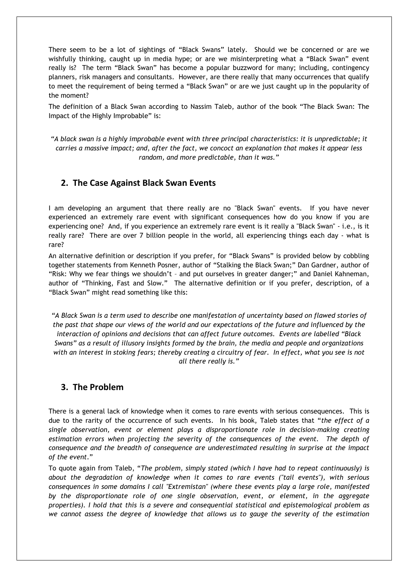There seem to be a lot of sightings of "Black Swans" lately. Should we be concerned or are we wishfully thinking, caught up in media hype; or are we misinterpreting what a "Black Swan" event really is? The term "Black Swan" has become a popular buzzword for many; including, contingency planners, risk managers and consultants. However, are there really that many occurrences that qualify to meet the requirement of being termed a "Black Swan" or are we just caught up in the popularity of the moment?

The definition of a Black Swan according to Nassim Taleb, author of the book "The Black Swan: The Impact of the Highly Improbable" is:

*"A black swan is a highly improbable event with three principal characteristics: it is unpredictable; it carries a massive impact; and, after the fact, we concoct an explanation that makes it appear less random, and more predictable, than it was."* 

### **2. The Case Against Black Swan Events**

I am developing an argument that there really are no "Black Swan" events. If you have never experienced an extremely rare event with significant consequences how do you know if you are experiencing one? And, if you experience an extremely rare event is it really a "Black Swan" - i.e., is it really rare? There are over 7 billion people in the world, all experiencing things each day - what is rare?

An alternative definition or description if you prefer, for "Black Swans" is provided below by cobbling together statements from Kenneth Posner, author of "Stalking the Black Swan;" Dan Gardner, author of "Risk: Why we fear things we shouldn't – and put ourselves in greater danger;" and Daniel Kahneman, author of "Thinking, Fast and Slow." The alternative definition or if you prefer, description, of a "Black Swan" might read something like this:

*"A Black Swan is a term used to describe one manifestation of uncertainty based on flawed stories of the past that shape our views of the world and our expectations of the future and influenced by the interaction of opinions and decisions that can affect future outcomes. Events are labelled "Black Swans" as a result of illusory insights formed by the brain, the media and people and organizations with an interest in stoking fears; thereby creating a circuitry of fear. In effect, what you see is not all there really is."* 

### **3. The Problem**

There is a general lack of knowledge when it comes to rare events with serious consequences. This is due to the rarity of the occurrence of such events. In his book, Taleb states that "*the effect of a single observation, event or element plays a disproportionate role in decision-making creating estimation errors when projecting the severity of the consequences of the event. The depth of consequence and the breadth of consequence are underestimated resulting in surprise at the impact of the event*."

To quote again from Taleb, "*The problem, simply stated (which I have had to repeat continuously) is about the degradation of knowledge when it comes to rare events ("tail events"), with serious consequences in some domains I call "Extremistan" (where these events play a large role, manifested by the disproportionate role of one single observation, event, or element, in the aggregate properties). I hold that this is a severe and consequential statistical and epistemological problem as we cannot assess the degree of knowledge that allows us to gauge the severity of the estimation*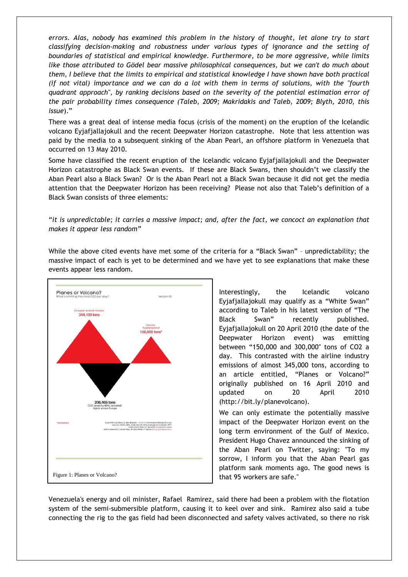*errors. Alas, nobody has examined this problem in the history of thought, let alone try to start classifying decision-making and robustness under various types of ignorance and the setting of boundaries of statistical and empirical knowledge. Furthermore, to be more aggressive, while limits like those attributed to Gödel bear massive philosophical consequences, but we can't do much about them, I believe that the limits to empirical and statistical knowledge I have shown have both practical (if not vital) importance and we can do a lot with them in terms of solutions, with the "fourth quadrant approach", by ranking decisions based on the severity of the potential estimation error of the pair probability times consequence (Taleb, 2009; Makridakis and Taleb, 2009; Blyth, 2010, this issue*)."

There was a great deal of intense media focus (crisis of the moment) on the eruption of the Icelandic volcano Eyjafjallajokull and the recent Deepwater Horizon catastrophe. Note that less attention was paid by the media to a subsequent sinking of the Aban Pearl, an offshore platform in Venezuela that occurred on 13 May 2010.

Some have classified the recent eruption of the Icelandic volcano Eyjafjallajokull and the Deepwater Horizon catastrophe as Black Swan events. If these are Black Swans, then shouldn't we classify the Aban Pearl also a Black Swan? Or is the Aban Pearl not a Black Swan because it did not get the media attention that the Deepwater Horizon has been receiving? Please not also that Taleb's definition of a Black Swan consists of three elements:

"*it is unpredictable; it carries a massive impact; and, after the fact, we concoct an explanation that makes it appear less random"*

While the above cited events have met some of the criteria for a "Black Swan" - unpredictability; the massive impact of each is yet to be determined and we have yet to see explanations that make these events appear less random.



Interestingly, the Icelandic volcano Eyjafjallajokull may qualify as a "White Swan" according to Taleb in his latest version of "The Black Swan" recently published. Eyjafjallajokull on 20 April 2010 (the date of the Deepwater Horizon event) was emitting between "150,000 and 300,000″ tons of CO2 a day. This contrasted with the airline industry emissions of almost 345,000 tons, according to an article entitled, "Planes or Volcano?" originally published on 16 April 2010 and updated on 20 April 2010 (http://bit.ly/planevolcano).

We can only estimate the potentially massive impact of the Deepwater Horizon event on the long term environment of the Gulf of Mexico. President Hugo Chavez announced the sinking of the Aban Pearl on Twitter, saying: "To my sorrow, I inform you that the Aban Pearl gas platform sank moments ago. The good news is that 95 workers are safe."

Venezuela's energy and oil minister, Rafael Ramirez, said there had been a problem with the flotation system of the semi-submersible platform, causing it to keel over and sink. Ramirez also said a tube connecting the rig to the gas field had been disconnected and safety valves activated, so there no risk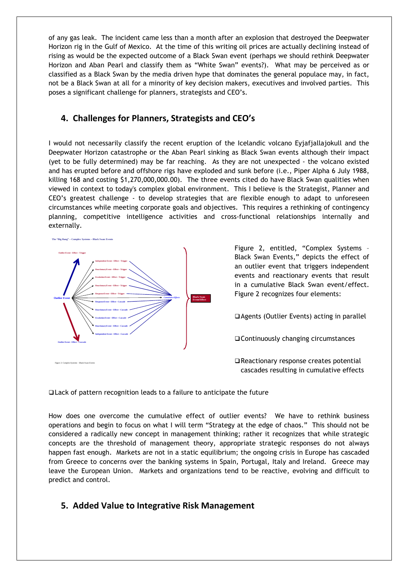of any gas leak. The incident came less than a month after an explosion that destroyed the Deepwater Horizon rig in the Gulf of Mexico. At the time of this writing oil prices are actually declining instead of rising as would be the expected outcome of a Black Swan event (perhaps we should rethink Deepwater Horizon and Aban Pearl and classify them as "White Swan" events?). What may be perceived as or classified as a Black Swan by the media driven hype that dominates the general populace may, in fact, not be a Black Swan at all for a minority of key decision makers, executives and involved parties. This poses a significant challenge for planners, strategists and CEO's.

# **4. Challenges for Planners, Strategists and CEO's**

I would not necessarily classify the recent eruption of the Icelandic volcano Eyjafjallajokull and the Deepwater Horizon catastrophe or the Aban Pearl sinking as Black Swan events although their impact (yet to be fully determined) may be far reaching. As they are not unexpected - the volcano existed and has erupted before and offshore rigs have exploded and sunk before (i.e., Piper Alpha 6 July 1988, killing 168 and costing \$1,270,000,000.00). The three events cited do have Black Swan qualities when viewed in context to today's complex global environment. This I believe is the Strategist, Planner and CEO's greatest challenge - to develop strategies that are flexible enough to adapt to unforeseen circumstances while meeting corporate goals and objectives. This requires a rethinking of contingency planning, competitive intelligence activities and cross-functional relationships internally and externally.



Figure 2, entitled, "Complex Systems – Black Swan Events," depicts the effect of an outlier event that triggers independent events and reactionary events that result in a cumulative Black Swan event/effect. Figure 2 recognizes four elements:

Agents (Outlier Events) acting in parallel

Continuously changing circumstances

□ Reactionary response creates potential cascades resulting in cumulative effects

Lack of pattern recognition leads to a failure to anticipate the future

How does one overcome the cumulative effect of outlier events? We have to rethink business operations and begin to focus on what I will term "Strategy at the edge of chaos." This should not be considered a radically new concept in management thinking; rather it recognizes that while strategic concepts are the threshold of management theory, appropriate strategic responses do not always happen fast enough. Markets are not in a static equilibrium; the ongoing crisis in Europe has cascaded from Greece to concerns over the banking systems in Spain, Portugal, Italy and Ireland. Greece may leave the European Union. Markets and organizations tend to be reactive, evolving and difficult to predict and control.

### **5. Added Value to Integrative Risk Management**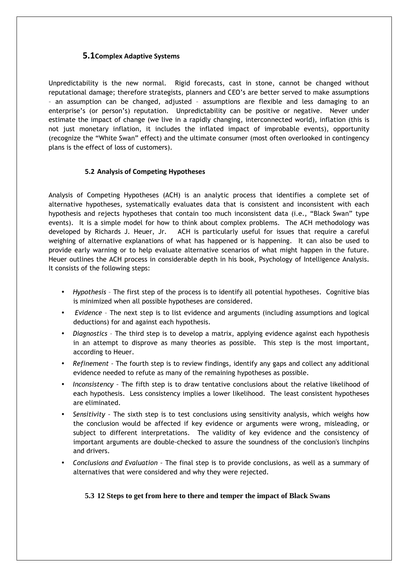### **5.1Complex Adaptive Systems**

Unpredictability is the new normal. Rigid forecasts, cast in stone, cannot be changed without reputational damage; therefore strategists, planners and CEO's are better served to make assumptions – an assumption can be changed, adjusted – assumptions are flexible and less damaging to an enterprise's (or person's) reputation. Unpredictability can be positive or negative. Never under estimate the impact of change (we live in a rapidly changing, interconnected world), inflation (this is not just monetary inflation, it includes the inflated impact of improbable events), opportunity (recognize the "White Swan" effect) and the ultimate consumer (most often overlooked in contingency plans is the effect of loss of customers).

#### **5.2 Analysis of Competing Hypotheses**

Analysis of Competing Hypotheses (ACH) is an analytic process that identifies a complete set of alternative hypotheses, systematically evaluates data that is consistent and inconsistent with each hypothesis and rejects hypotheses that contain too much inconsistent data (i.e., "Black Swan" type events). It is a simple model for how to think about complex problems. The ACH methodology was developed by Richards J. Heuer, Jr. ACH is particularly useful for issues that require a careful weighing of alternative explanations of what has happened or is happening. It can also be used to provide early warning or to help evaluate alternative scenarios of what might happen in the future. Heuer outlines the ACH process in considerable depth in his book, Psychology of Intelligence Analysis. It consists of the following steps:

- *Hypothesis* The first step of the process is to identify all potential hypotheses. Cognitive bias is minimized when all possible hypotheses are considered.
- *Evidence* The next step is to list evidence and arguments (including assumptions and logical deductions) for and against each hypothesis.
- *Diagnostics* The third step is to develop a matrix, applying evidence against each hypothesis in an attempt to disprove as many theories as possible. This step is the most important, according to Heuer.
- *Refinement –* The fourth step is to review findings, identify any gaps and collect any additional evidence needed to refute as many of the remaining hypotheses as possible.
- *Inconsistency –* The fifth step is to draw tentative conclusions about the relative likelihood of each hypothesis. Less consistency implies a lower likelihood. The least consistent hypotheses are eliminated.
- *Sensitivity –* The sixth step is to test conclusions using sensitivity analysis, which weighs how the conclusion would be affected if key evidence or arguments were wrong, misleading, or subject to different interpretations. The validity of key evidence and the consistency of important arguments are double-checked to assure the soundness of the conclusion's linchpins and drivers.
- *Conclusions and Evaluation –* The final step is to provide conclusions, as well as a summary of alternatives that were considered and why they were rejected.

#### **5.3 12 Steps to get from here to there and temper the impact of Black Swans**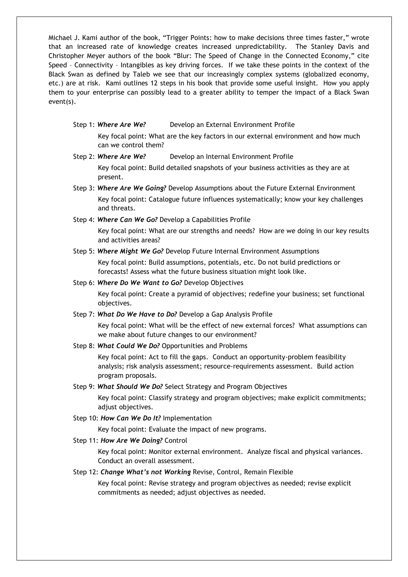Michael J. Kami author of the book, "Trigger Points: how to make decisions three times faster," wrote that an increased rate of knowledge creates increased unpredictability. The Stanley Davis and Christopher Meyer authors of the book "Blur: The Speed of Change in the Connected Economy," cite Speed – Connectivity – Intangibles as key driving forces. If we take these points in the context of the Black Swan as defined by Taleb we see that our increasingly complex systems (globalized economy, etc.) are at risk. Kami outlines 12 steps in his book that provide some useful insight. How you apply them to your enterprise can possibly lead to a greater ability to temper the impact of a Black Swan event(s).

Step 1: *Where Are We?* Develop an External Environment Profile

Key focal point: What are the key factors in our external environment and how much can we control them?

Step 2: *Where Are We?* Develop an Internal Environment Profile

Key focal point: Build detailed snapshots of your business activities as they are at present.

- Step 3: *Where Are We Going?* Develop Assumptions about the Future External Environment Key focal point: Catalogue future influences systematically; know your key challenges and threats.
- Step 4: *Where Can We Go?* Develop a Capabilities Profile

Key focal point: What are our strengths and needs? How are we doing in our key results and activities areas?

Step 5: *Where Might We Go?* Develop Future Internal Environment Assumptions

Key focal point: Build assumptions, potentials, etc. Do not build predictions or forecasts! Assess what the future business situation might look like.

Step 6: *Where Do We Want to Go?* Develop Objectives

Key focal point: Create a pyramid of objectives; redefine your business; set functional objectives.

Step 7: *What Do We Have to Do?* Develop a Gap Analysis Profile

Key focal point: What will be the effect of new external forces? What assumptions can we make about future changes to our environment?

Step 8: *What Could We Do?* Opportunities and Problems

Key focal point: Act to fill the gaps. Conduct an opportunity-problem feasibility analysis; risk analysis assessment; resource-requirements assessment. Build action program proposals.

Step 9: *What Should We Do?* Select Strategy and Program Objectives

Key focal point: Classify strategy and program objectives; make explicit commitments; adjust objectives.

Step 10: *How Can We Do It?* Implementation

Key focal point: Evaluate the impact of new programs.

Step 11: *How Are We Doing?* Control

Key focal point: Monitor external environment. Analyze fiscal and physical variances. Conduct an overall assessment.

Step 12: *Change What's not Working* Revise, Control, Remain Flexible

Key focal point: Revise strategy and program objectives as needed; revise explicit commitments as needed; adjust objectives as needed.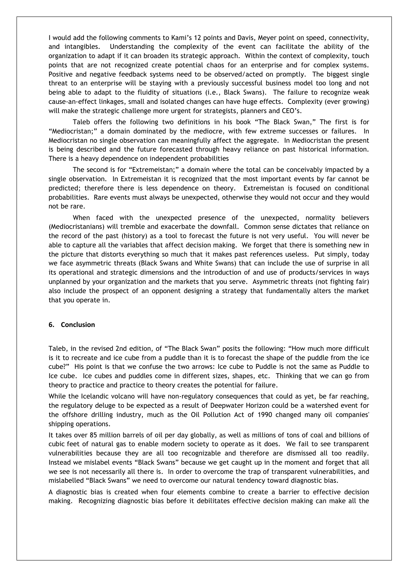I would add the following comments to Kami's 12 points and Davis, Meyer point on speed, connectivity, and intangibles. Understanding the complexity of the event can facilitate the ability of the organization to adapt if it can broaden its strategic approach. Within the context of complexity, touch points that are not recognized create potential chaos for an enterprise and for complex systems. Positive and negative feedback systems need to be observed/acted on promptly. The biggest single threat to an enterprise will be staying with a previously successful business model too long and not being able to adapt to the fluidity of situations (i.e., Black Swans). The failure to recognize weak cause-an-effect linkages, small and isolated changes can have huge effects. Complexity (ever growing) will make the strategic challenge more urgent for strategists, planners and CEO's.

 Taleb offers the following two definitions in his book "The Black Swan," The first is for "Mediocristan;" a domain dominated by the mediocre, with few extreme successes or failures. In Mediocristan no single observation can meaningfully affect the aggregate. In Mediocristan the present is being described and the future forecasted through heavy reliance on past historical information. There is a heavy dependence on independent probabilities

 The second is for "Extremeistan;" a domain where the total can be conceivably impacted by a single observation. In Extremeistan it is recognized that the most important events by far cannot be predicted; therefore there is less dependence on theory. Extremeistan is focused on conditional probabilities. Rare events must always be unexpected, otherwise they would not occur and they would not be rare.

 When faced with the unexpected presence of the unexpected, normality believers (Mediocristanians) will tremble and exacerbate the downfall. Common sense dictates that reliance on the record of the past (history) as a tool to forecast the future is not very useful. You will never be able to capture all the variables that affect decision making. We forget that there is something new in the picture that distorts everything so much that it makes past references useless. Put simply, today we face asymmetric threats (Black Swans and White Swans) that can include the use of surprise in all its operational and strategic dimensions and the introduction of and use of products/services in ways unplanned by your organization and the markets that you serve. Asymmetric threats (not fighting fair) also include the prospect of an opponent designing a strategy that fundamentally alters the market that you operate in.

#### **6. Conclusion**

Taleb, in the revised 2nd edition, of "The Black Swan" posits the following: "How much more difficult is it to recreate and ice cube from a puddle than it is to forecast the shape of the puddle from the ice cube?" His point is that we confuse the two arrows: Ice cube to Puddle is not the same as Puddle to Ice cube. Ice cubes and puddles come in different sizes, shapes, etc. Thinking that we can go from theory to practice and practice to theory creates the potential for failure.

While the Icelandic volcano will have non-regulatory consequences that could as yet, be far reaching, the regulatory deluge to be expected as a result of Deepwater Horizon could be a watershed event for the offshore drilling industry, much as the Oil Pollution Act of 1990 changed many oil companies' shipping operations.

It takes over 85 million barrels of oil per day globally, as well as millions of tons of coal and billions of cubic feet of natural gas to enable modern society to operate as it does. We fail to see transparent vulnerabilities because they are all too recognizable and therefore are dismissed all too readily. Instead we mislabel events "Black Swans" because we get caught up in the moment and forget that all we see is not necessarily all there is. In order to overcome the trap of transparent vulnerabilities, and mislabelled "Black Swans" we need to overcome our natural tendency toward diagnostic bias.

A diagnostic bias is created when four elements combine to create a barrier to effective decision making. Recognizing diagnostic bias before it debilitates effective decision making can make all the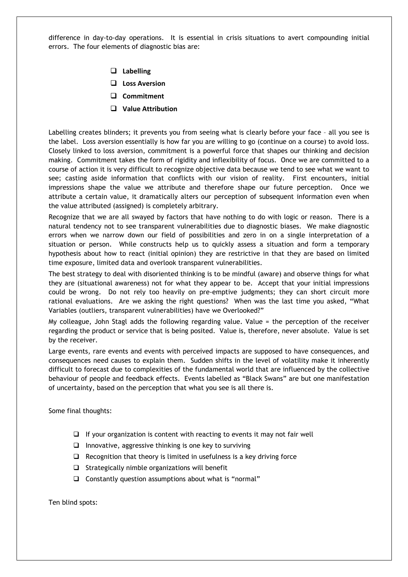difference in day-to-day operations. It is essential in crisis situations to avert compounding initial errors. The four elements of diagnostic bias are:

- **Labelling**
- **Loss Aversion**
- **Commitment**
- **Value Attribution**

Labelling creates blinders; it prevents you from seeing what is clearly before your face – all you see is the label. Loss aversion essentially is how far you are willing to go (continue on a course) to avoid loss. Closely linked to loss aversion, commitment is a powerful force that shapes our thinking and decision making. Commitment takes the form of rigidity and inflexibility of focus. Once we are committed to a course of action it is very difficult to recognize objective data because we tend to see what we want to see; casting aside information that conflicts with our vision of reality. First encounters, initial impressions shape the value we attribute and therefore shape our future perception. Once we attribute a certain value, it dramatically alters our perception of subsequent information even when the value attributed (assigned) is completely arbitrary.

Recognize that we are all swayed by factors that have nothing to do with logic or reason. There is a natural tendency not to see transparent vulnerabilities due to diagnostic biases. We make diagnostic errors when we narrow down our field of possibilities and zero in on a single interpretation of a situation or person. While constructs help us to quickly assess a situation and form a temporary hypothesis about how to react (initial opinion) they are restrictive in that they are based on limited time exposure, limited data and overlook transparent vulnerabilities.

The best strategy to deal with disoriented thinking is to be mindful (aware) and observe things for what they are (situational awareness) not for what they appear to be. Accept that your initial impressions could be wrong. Do not rely too heavily on pre-emptive judgments; they can short circuit more rational evaluations. Are we asking the right questions? When was the last time you asked, "What Variables (outliers, transparent vulnerabilities) have we Overlooked?"

My colleague, John Stagl adds the following regarding value. Value = the perception of the receiver regarding the product or service that is being posited. Value is, therefore, never absolute. Value is set by the receiver.

Large events, rare events and events with perceived impacts are supposed to have consequences, and consequences need causes to explain them. Sudden shifts in the level of volatility make it inherently difficult to forecast due to complexities of the fundamental world that are influenced by the collective behaviour of people and feedback effects. Events labelled as "Black Swans" are but one manifestation of uncertainty, based on the perception that what you see is all there is.

Some final thoughts:

- $\Box$  If your organization is content with reacting to events it may not fair well
- $\Box$  Innovative, aggressive thinking is one key to surviving
- $\Box$  Recognition that theory is limited in usefulness is a key driving force
- $\Box$  Strategically nimble organizations will benefit
- Constantly question assumptions about what is "normal"

Ten blind spots: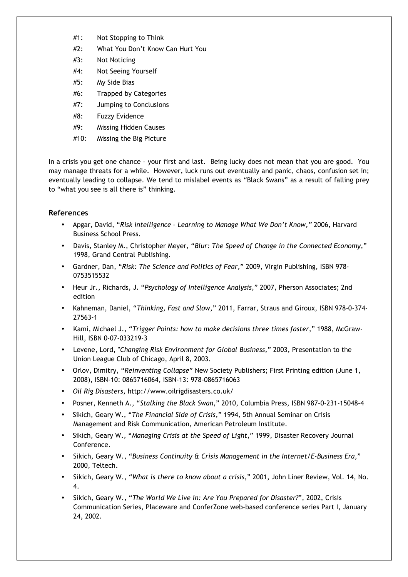- #1: Not Stopping to Think
- #2: What You Don't Know Can Hurt You
- #3: Not Noticing
- #4: Not Seeing Yourself
- #5: My Side Bias
- #6: Trapped by Categories
- #7: Jumping to Conclusions
- #8: Fuzzy Evidence
- #9: Missing Hidden Causes
- #10: Missing the Big Picture

In a crisis you get one chance – your first and last. Being lucky does not mean that you are good. You may manage threats for a while. However, luck runs out eventually and panic, chaos, confusion set in; eventually leading to collapse. We tend to mislabel events as "Black Swans" as a result of falling prey to "what you see is all there is" thinking.

#### **References**

- Apgar, David, "*Risk Intelligence Learning to Manage What We Don't Know,"* 2006, Harvard Business School Press.
- Davis, Stanley M., Christopher Meyer, "*Blur: The Speed of Change in the Connected Economy*," 1998, Grand Central Publishing.
- Gardner, Dan, "*Risk: The Science and Politics of Fear,*" 2009, Virgin Publishing, ISBN 978- 0753515532
- Heur Jr., Richards, J. "*Psychology of Intelligence Analysis*," 2007, Pherson Associates; 2nd edition
- Kahneman, Daniel, "*Thinking, Fast and Slow*," 2011, Farrar, Straus and Giroux, ISBN 978-0-374- 27563-1
- Kami, Michael J., "*Trigger Points: how to make decisions three times faster*," 1988, McGraw-Hill, ISBN 0-07-033219-3
- Levene, Lord, "*Changing Risk Environment for Global Business,*" 2003, Presentation to the Union League Club of Chicago, April 8, 2003.
- Orlov, Dimitry, "*Reinventing Collapse*" New Society Publishers; First Printing edition (June 1, 2008), ISBN-10: 0865716064, ISBN-13: 978-0865716063
- *Oil Rig Disasters*, http://www.oilrigdisasters.co.uk/
- Posner, Kenneth A., "*Stalking the Black Swan*," 2010, Columbia Press, ISBN 987-0-231-15048-4
- Sikich, Geary W., "*The Financial Side of Crisis*," 1994, 5th Annual Seminar on Crisis Management and Risk Communication, American Petroleum Institute.
- Sikich, Geary W., "*Managing Crisis at the Speed of Light*," 1999, Disaster Recovery Journal Conference.
- Sikich, Geary W., "*Business Continuity & Crisis Management in the Internet/E-Business Era*," 2000, Teltech.
- Sikich, Geary W., "*What is there to know about a crisis*," 2001, John Liner Review, Vol. 14, No. 4.
- Sikich, Geary W., "*The World We Live in: Are You Prepared for Disaster?*", 2002, Crisis Communication Series, Placeware and ConferZone web-based conference series Part I, January 24, 2002.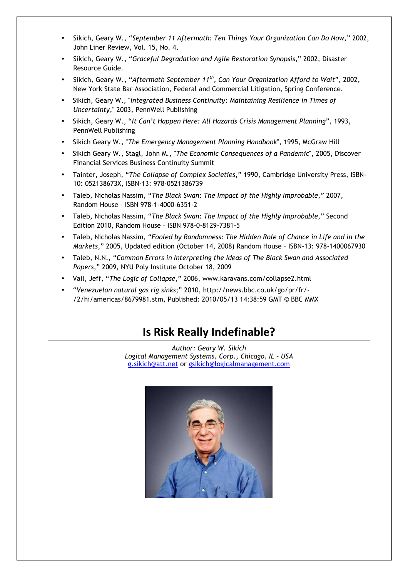- Sikich, Geary W., "*September 11 Aftermath: Ten Things Your Organization Can Do Now*," 2002, John Liner Review, Vol. 15, No. 4.
- Sikich, Geary W., "*Graceful Degradation and Agile Restoration Synopsis*," 2002, Disaster Resource Guide.
- Sikich, Geary W., "*Aftermath September 11th, Can Your Organization Afford to Wait*", 2002, New York State Bar Association, Federal and Commercial Litigation, Spring Conference.
- Sikich, Geary W., "*Integrated Business Continuity: Maintaining Resilience in Times of Uncertainty*," 2003, PennWell Publishing
- Sikich, Geary W., "*It Can't Happen Here: All Hazards Crisis Management Planning*", 1993, PennWell Publishing
- Sikich Geary W., "*The Emergency Management Planning Handbook*", 1995, McGraw Hill
- Sikich Geary W., Stagl, John M., "*The Economic Consequences of a Pandemic*", 2005, Discover Financial Services Business Continuity Summit
- Tainter, Joseph, "*The Collapse of Complex Societies*," 1990, Cambridge University Press, ISBN-10: 052138673X, ISBN-13: 978-0521386739
- Taleb, Nicholas Nassim, "*The Black Swan: The Impact of the Highly Improbable*," 2007, Random House – ISBN 978-1-4000-6351-2
- Taleb, Nicholas Nassim, "*The Black Swan: The Impact of the Highly Improbable*," Second Edition 2010, Random House – ISBN 978-0-8129-7381-5
- Taleb, Nicholas Nassim, "*Fooled by Randomness: The Hidden Role of Chance in Life and in the Markets*," 2005, Updated edition (October 14, 2008) Random House – ISBN-13: 978-1400067930
- Taleb, N.N., "*Common Errors in Interpreting the Ideas of The Black Swan and Associated Papers*," 2009, NYU Poly Institute October 18, 2009
- Vail, Jeff, "*The Logic of Collapse*," 2006, www.karavans.com/collapse2.html
- "*Venezuelan natural gas rig sinks*;" 2010, http://news.bbc.co.uk/go/pr/fr/- /2/hi/americas/8679981.stm, Published: 2010/05/13 14:38:59 GMT © BBC MMX

# **Is Risk Really Indefinable?**

*Author: Geary W. Sikich Logical Management Systems, Corp., Chicago, IL – USA*  g.sikich@att.net or gsikich@logicalmanagement.com

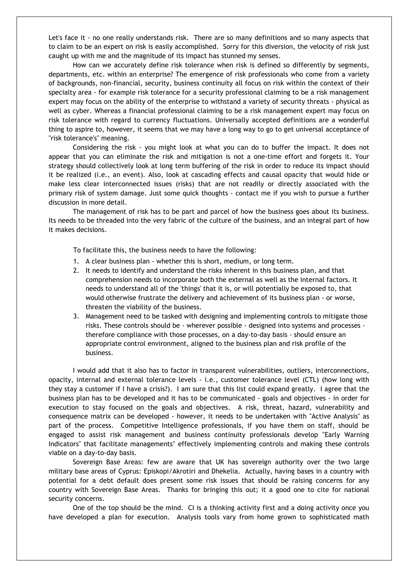Let's face it - no one really understands risk. There are so many definitions and so many aspects that to claim to be an expert on risk is easily accomplished. Sorry for this diversion, the velocity of risk just caught up with me and the magnitude of its impact has stunned my senses.

How can we accurately define risk tolerance when risk is defined so differently by segments, departments, etc. within an enterprise? The emergence of risk professionals who come from a variety of backgrounds, non-financial, security, business continuity all focus on risk within the context of their specialty area - for example risk tolerance for a security professional claiming to be a risk management expert may focus on the ability of the enterprise to withstand a variety of security threats - physical as well as cyber. Whereas a financial professional claiming to be a risk management expert may focus on risk tolerance with regard to currency fluctuations. Universally accepted definitions are a wonderful thing to aspire to, however, it seems that we may have a long way to go to get universal acceptance of "risk tolerance's" meaning.

Considering the risk - you might look at what you can do to buffer the impact. It does not appear that you can eliminate the risk and mitigation is not a one-time effort and forgets it. Your strategy should collectively look at long term buffering of the risk in order to reduce its impact should it be realized (i.e., an event). Also, look at cascading effects and causal opacity that would hide or make less clear interconnected issues (risks) that are not readily or directly associated with the primary risk of system damage. Just some quick thoughts - contact me if you wish to pursue a further discussion in more detail.

The management of risk has to be part and parcel of how the business goes about its business. Its needs to be threaded into the very fabric of the culture of the business, and an integral part of how it makes decisions.

To facilitate this, the business needs to have the following:

- 1. A clear business plan whether this is short, medium, or long term.
- 2. It needs to identify and understand the risks inherent in this business plan, and that comprehension needs to incorporate both the external as well as the internal factors. It needs to understand all of the 'things' that it is, or will potentially be exposed to, that would otherwise frustrate the delivery and achievement of its business plan - or worse, threaten the viability of the business.
- 3. Management need to be tasked with designing and implementing controls to mitigate those risks. These controls should be - wherever possible - designed into systems and processes therefore compliance with those processes, on a day-to-day basis - should ensure an appropriate control environment, aligned to the business plan and risk profile of the business.

I would add that it also has to factor in transparent vulnerabilities, outliers, interconnections, opacity, internal and external tolerance levels - i.e., customer tolerance level (CTL) (how long with they stay a customer if I have a crisis?). I am sure that this list could expand greatly. I agree that the business plan has to be developed and it has to be communicated - goals and objectives - in order for execution to stay focused on the goals and objectives. A risk, threat, hazard, vulnerability and consequence matrix can be developed - however, it needs to be undertaken with "Active Analysis" as part of the process. Competitive Intelligence professionals, if you have them on staff, should be engaged to assist risk management and business continuity professionals develop "Early Warning Indicators" that facilitate managements' effectively implementing controls and making these controls viable on a day-to-day basis.

Sovereign Base Areas: few are aware that UK has sovereign authority over the two large military base areas of Cyprus: Episkopi/Akrotiri and Dhekelia. Actually, having bases in a country with potential for a debt default does present some risk issues that should be raising concerns for any country with Sovereign Base Areas. Thanks for bringing this out; it a good one to cite for national security concerns.

One of the top should be the mind. CI is a thinking activity first and a doing activity once you have developed a plan for execution. Analysis tools vary from home grown to sophisticated math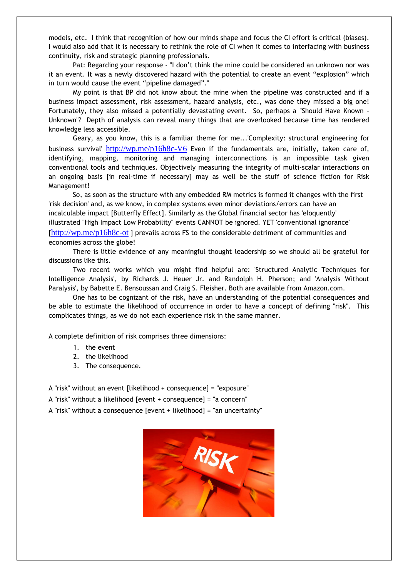models, etc. I think that recognition of how our minds shape and focus the CI effort is critical (biases). I would also add that it is necessary to rethink the role of CI when it comes to interfacing with business continuity, risk and strategic planning professionals.

Pat: Regarding your response - "I don't think the mine could be considered an unknown nor was it an event. It was a newly discovered hazard with the potential to create an event "explosion" which in turn would cause the event "pipeline damaged"."

My point is that BP did not know about the mine when the pipeline was constructed and if a business impact assessment, risk assessment, hazard analysis, etc., was done they missed a big one! Fortunately, they also missed a potentially devastating event. So, perhaps a "Should Have Known - Unknown"? Depth of analysis can reveal many things that are overlooked because time has rendered knowledge less accessible.

Geary, as you know, this is a familiar theme for me...'Complexity: structural engineering for business survival' http://wp.me/p16h8c-V6 Even if the fundamentals are, initially, taken care of, identifying, mapping, monitoring and managing interconnections is an impossible task given conventional tools and techniques. Objectively measuring the integrity of multi-scalar interactions on an ongoing basis [in real-time if necessary] may as well be the stuff of science fiction for Risk Management!

So, as soon as the structure with any embedded RM metrics is formed it changes with the first 'risk decision' and, as we know, in complex systems even minor deviations/errors can have an incalculable impact [Butterfly Effect]. Similarly as the Global financial sector has 'eloquently' illustrated "High Impact Low Probability" events CANNOT be ignored. YET 'conventional ignorance' [http://wp.me/p16h8c-ot ] prevails across FS to the considerable detriment of communities and economies across the globe!

There is little evidence of any meaningful thought leadership so we should all be grateful for discussions like this.

Two recent works which you might find helpful are: 'Structured Analytic Techniques for Intelligence Analysis', by Richards J. Heuer Jr. and Randolph H. Pherson; and 'Analysis Without Paralysis', by Babette E. Bensoussan and Craig S. Fleisher. Both are available from Amazon.com.

One has to be cognizant of the risk, have an understanding of the potential consequences and be able to estimate the likelihood of occurrence in order to have a concept of defining "risk". This complicates things, as we do not each experience risk in the same manner.

A complete definition of risk comprises three dimensions:

- 1. the event
- 2. the likelihood
- 3. The consequence.

A "risk" without an event [likelihood + consequence] = "exposure"

A "risk" without a likelihood [event + consequence] = "a concern"

A "risk" without a consequence [event + likelihood] = "an uncertainty"

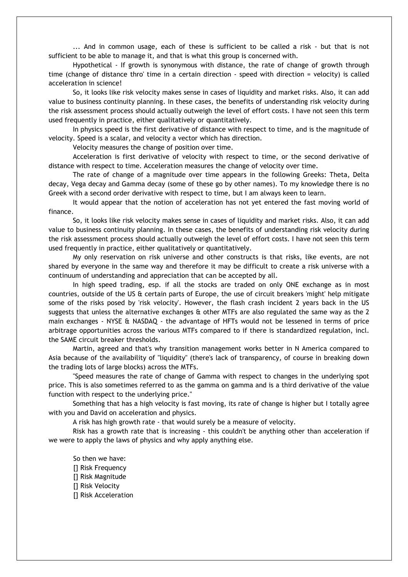... And in common usage, each of these is sufficient to be called a risk - but that is not sufficient to be able to manage it, and that is what this group is concerned with.

Hypothetical - If growth is synonymous with distance, the rate of change of growth through time (change of distance thro' time in a certain direction - speed with direction = velocity) is called acceleration in science!

So, it looks like risk velocity makes sense in cases of liquidity and market risks. Also, it can add value to business continuity planning. In these cases, the benefits of understanding risk velocity during the risk assessment process should actually outweigh the level of effort costs. I have not seen this term used frequently in practice, either qualitatively or quantitatively.

In physics speed is the first derivative of distance with respect to time, and is the magnitude of velocity. Speed is a scalar, and velocity a vector which has direction.

Velocity measures the change of position over time.

Acceleration is first derivative of velocity with respect to time, or the second derivative of distance with respect to time. Acceleration measures the change of velocity over time.

The rate of change of a magnitude over time appears in the following Greeks: Theta, Delta decay, Vega decay and Gamma decay (some of these go by other names). To my knowledge there is no Greek with a second order derivative with respect to time, but I am always keen to learn.

It would appear that the notion of acceleration has not yet entered the fast moving world of finance.

So, it looks like risk velocity makes sense in cases of liquidity and market risks. Also, it can add value to business continuity planning. In these cases, the benefits of understanding risk velocity during the risk assessment process should actually outweigh the level of effort costs. I have not seen this term used frequently in practice, either qualitatively or quantitatively.

My only reservation on risk universe and other constructs is that risks, like events, are not shared by everyone in the same way and therefore it may be difficult to create a risk universe with a continuum of understanding and appreciation that can be accepted by all.

In high speed trading, esp. if all the stocks are traded on only ONE exchange as in most countries, outside of the US & certain parts of Europe, the use of circuit breakers 'might' help mitigate some of the risks posed by 'risk velocity'. However, the flash crash incident 2 years back in the US suggests that unless the alternative exchanges & other MTFs are also regulated the same way as the 2 main exchanges - NYSE & NASDAQ - the advantage of HFTs would not be lessened in terms of price arbitrage opportunities across the various MTFs compared to if there is standardized regulation, incl. the SAME circuit breaker thresholds.

Martin, agreed and that's why transition management works better in N America compared to Asia because of the availability of "liquidity" (there's lack of transparency, of course in breaking down the trading lots of large blocks) across the MTFs.

"Speed measures the rate of change of Gamma with respect to changes in the underlying spot price. This is also sometimes referred to as the gamma on gamma and is a third derivative of the value function with respect to the underlying price."

Something that has a high velocity is fast moving, its rate of change is higher but I totally agree with you and David on acceleration and physics.

A risk has high growth rate - that would surely be a measure of velocity.

Risk has a growth rate that is increasing - this couldn't be anything other than acceleration if we were to apply the laws of physics and why apply anything else.

So then we have: [] Risk Frequency [] Risk Magnitude [] Risk Velocity [] Risk Acceleration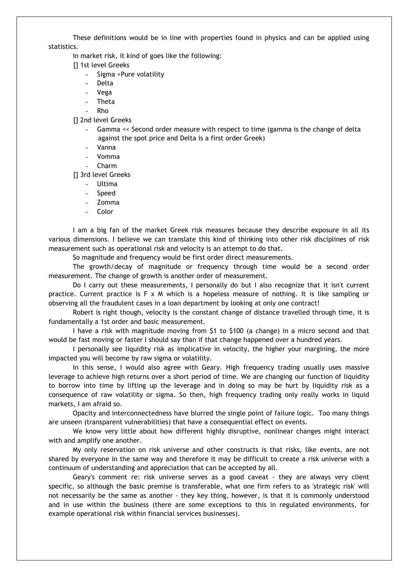These definitions would be in line with properties found in physics and can be applied using statistics.

In market risk, it kind of goes like the following:

- [] 1st level Greeks
	- Sigma <Pure volatility
	- **Delta**
	- Vega
	- **Theta**
	- Rho

[] 2nd level Greeks

- Gamma << Second order measure with respect to time (gamma is the change of delta against the spot price and Delta is a first order Greek)
- Vanna
- Vomma
- Charm

[] 3rd level Greeks

- **Ultima**
- Speed
- Zomma
- Color

I am a big fan of the market Greek risk measures because they describe exposure in all its various dimensions. I believe we can translate this kind of thinking into other risk disciplines of risk measurement such as operational risk and velocity is an attempt to do that.

So magnitude and frequency would be first order direct measurements.

The growth/decay of magnitude or frequency through time would be a second order measurement. The change of growth is another order of measurement.

Do I carry out these measurements, I personally do but I also recognize that it isn't current practice. Current practice is F x M which is a hopeless measure of nothing. It is like sampling or observing all the fraudulent cases in a loan department by looking at only one contract!

Robert is right though, velocity is the constant change of distance travelled through time, it is fundamentally a 1st order and basic measurement.

I have a risk with magnitude moving from \$1 to \$100 (a change) in a micro second and that would be fast moving or faster I should say than if that change happened over a hundred years.

I personally see liquidity risk as implicative in velocity, the higher your margining, the more impacted you will become by raw sigma or volatility.

In this sense, I would also agree with Geary. High frequency trading usually uses massive leverage to achieve high returns over a short period of time. We are changing our function of liquidity to borrow into time by lifting up the leverage and in doing so may be hurt by liquidity risk as a consequence of raw volatility or sigma. So then, high frequency trading only really works in liquid markets, I am afraid so.

Opacity and interconnectedness have blurred the single point of failure logic. Too many things are unseen (transparent vulnerabilities) that have a consequential effect on events.

We know very little about how different highly disruptive, nonlinear changes might interact with and amplify one another.

My only reservation on risk universe and other constructs is that risks, like events, are not shared by everyone in the same way and therefore it may be difficult to create a risk universe with a continuum of understanding and appreciation that can be accepted by all.

Geary's comment re: risk universe serves as a good caveat - they are always very client specific, so although the basic premise is transferable, what one firm refers to as 'strategic risk' will not necessarily be the same as another - they key thing, however, is that it is commonly understood and in use within the business (there are some exceptions to this in regulated environments, for example operational risk within financial services businesses).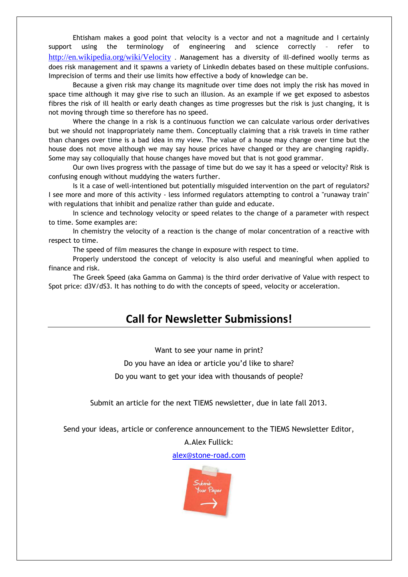Ehtisham makes a good point that velocity is a vector and not a magnitude and I certainly support using the terminology of engineering and science correctly – refer to http://en.wikipedia.org/wiki/Velocity . Management has a diversity of ill-defined woolly terms as does risk management and it spawns a variety of LinkedIn debates based on these multiple confusions. Imprecision of terms and their use limits how effective a body of knowledge can be.

Because a given risk may change its magnitude over time does not imply the risk has moved in space time although it may give rise to such an illusion. As an example if we get exposed to asbestos fibres the risk of ill health or early death changes as time progresses but the risk is just changing, it is not moving through time so therefore has no speed.

Where the change in a risk is a continuous function we can calculate various order derivatives but we should not inappropriately name them. Conceptually claiming that a risk travels in time rather than changes over time is a bad idea in my view. The value of a house may change over time but the house does not move although we may say house prices have changed or they are changing rapidly. Some may say colloquially that house changes have moved but that is not good grammar.

Our own lives progress with the passage of time but do we say it has a speed or velocity? Risk is confusing enough without muddying the waters further.

Is it a case of well-intentioned but potentially misguided intervention on the part of regulators? I see more and more of this activity - less informed regulators attempting to control a "runaway train" with regulations that inhibit and penalize rather than guide and educate.

In science and technology velocity or speed relates to the change of a parameter with respect to time. Some examples are:

In chemistry the velocity of a reaction is the change of molar concentration of a reactive with respect to time.

The speed of film measures the change in exposure with respect to time.

Properly understood the concept of velocity is also useful and meaningful when applied to finance and risk.

The Greek Speed (aka Gamma on Gamma) is the third order derivative of Value with respect to Spot price: d3V/dS3. It has nothing to do with the concepts of speed, velocity or acceleration.

# **Call for Newsletter Submissions!**

Want to see your name in print?

Do you have an idea or article you'd like to share?

Do you want to get your idea with thousands of people?

Submit an article for the next TIEMS newsletter, due in late fall 2013.

Send your ideas, article or conference announcement to the TIEMS Newsletter Editor,

A.Alex Fullick:

alex@stone-road.com